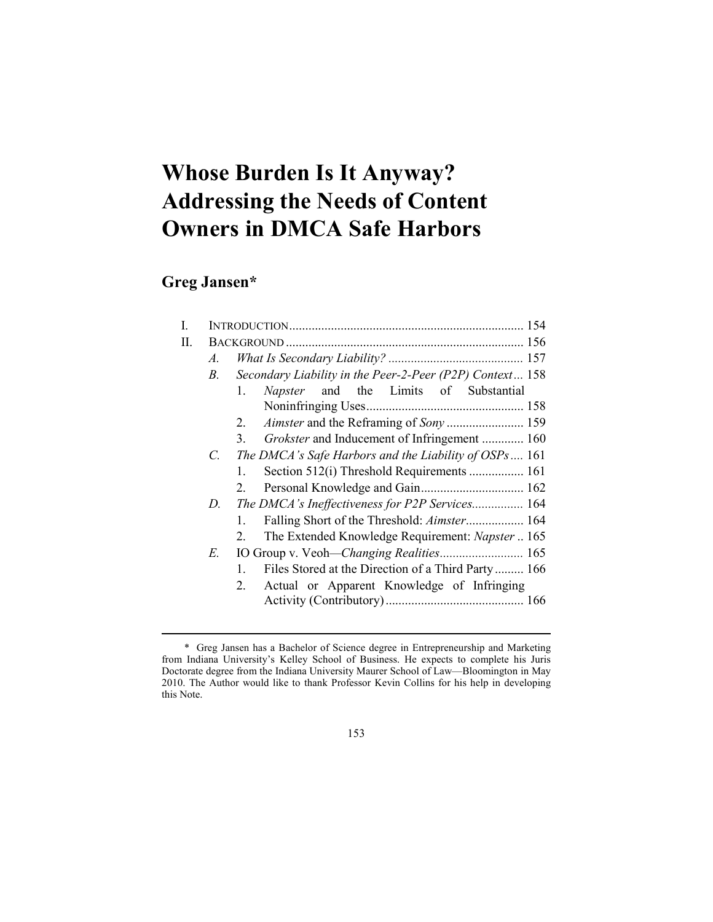# **Whose Burden Is It Anyway? Addressing the Needs of Content Owners in DMCA Safe Harbors**

## **Greg Jansen\***

<u>.</u>

| I. |    |                                                                    |  |  |
|----|----|--------------------------------------------------------------------|--|--|
| H. |    |                                                                    |  |  |
|    | A. |                                                                    |  |  |
|    | В. | Secondary Liability in the Peer-2-Peer (P2P) Context 158           |  |  |
|    |    | Napster and the Limits of Substantial<br>$1_{-}$                   |  |  |
|    |    |                                                                    |  |  |
|    |    | 2.                                                                 |  |  |
|    |    | Grokster and Inducement of Infringement  160<br>3.                 |  |  |
|    | C. | The DMCA's Safe Harbors and the Liability of OSPs 161              |  |  |
|    |    | Section 512(i) Threshold Requirements  161<br>$1_{-}$              |  |  |
|    |    | 2.                                                                 |  |  |
|    | D. | The DMCA's Ineffectiveness for P2P Services 164                    |  |  |
|    |    | Falling Short of the Threshold: Aimster 164<br>$1_{-}$             |  |  |
|    |    | The Extended Knowledge Requirement: Napster  165<br>2              |  |  |
|    | E. | IO Group v. Veoh-Changing Realities 165                            |  |  |
|    |    | Files Stored at the Direction of a Third Party 166<br>$\mathbf{1}$ |  |  |
|    |    | Actual or Apparent Knowledge of Infringing<br>2.                   |  |  |
|    |    |                                                                    |  |  |
|    |    |                                                                    |  |  |

153

 <sup>\*</sup> Greg Jansen has a Bachelor of Science degree in Entrepreneurship and Marketing from Indiana University's Kelley School of Business. He expects to complete his Juris Doctorate degree from the Indiana University Maurer School of Law—Bloomington in May 2010. The Author would like to thank Professor Kevin Collins for his help in developing this Note.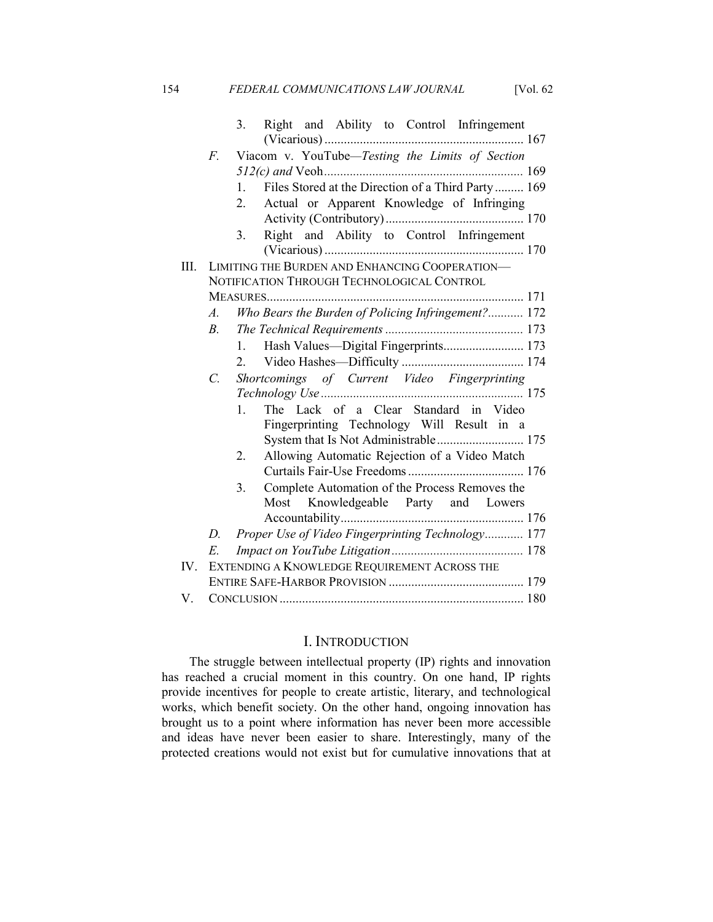154 *FEDERAL COMMUNICATIONS LAW JOURNAL* [Vol. 62

|      |                                              | 3.        | Right and Ability to Control Infringement          |  |  |
|------|----------------------------------------------|-----------|----------------------------------------------------|--|--|
|      |                                              |           |                                                    |  |  |
|      | F.                                           |           | Viacom v. YouTube-Testing the Limits of Section    |  |  |
|      |                                              |           |                                                    |  |  |
|      |                                              | 1.        | Files Stored at the Direction of a Third Party 169 |  |  |
|      |                                              | 2.        | Actual or Apparent Knowledge of Infringing         |  |  |
|      |                                              | 3.        | Right and Ability to Control Infringement          |  |  |
| III. |                                              |           | LIMITING THE BURDEN AND ENHANCING COOPERATION-     |  |  |
|      |                                              |           | NOTIFICATION THROUGH TECHNOLOGICAL CONTROL         |  |  |
|      |                                              |           |                                                    |  |  |
|      | A.                                           |           | Who Bears the Burden of Policing Infringement? 172 |  |  |
|      | $B_{\cdot}$                                  |           |                                                    |  |  |
|      |                                              | 1.        |                                                    |  |  |
|      |                                              |           |                                                    |  |  |
|      | $\mathcal{C}$                                |           | Shortcomings of Current Video Fingerprinting       |  |  |
|      |                                              |           |                                                    |  |  |
|      |                                              | $1 \quad$ | The Lack of a Clear Standard in Video              |  |  |
|      |                                              |           | Fingerprinting Technology Will Result in a         |  |  |
|      |                                              |           |                                                    |  |  |
|      |                                              | 2.        | Allowing Automatic Rejection of a Video Match      |  |  |
|      |                                              |           |                                                    |  |  |
|      |                                              | 3.        | Complete Automation of the Process Removes the     |  |  |
|      |                                              |           | Most Knowledgeable Party and Lowers                |  |  |
|      |                                              |           |                                                    |  |  |
|      | D.                                           |           | Proper Use of Video Fingerprinting Technology 177  |  |  |
|      | E.                                           |           |                                                    |  |  |
| IV.  | EXTENDING A KNOWLEDGE REQUIREMENT ACROSS THE |           |                                                    |  |  |
|      |                                              |           |                                                    |  |  |
| V    |                                              |           |                                                    |  |  |

## I. INTRODUCTION

The struggle between intellectual property (IP) rights and innovation has reached a crucial moment in this country. On one hand, IP rights provide incentives for people to create artistic, literary, and technological works, which benefit society. On the other hand, ongoing innovation has brought us to a point where information has never been more accessible and ideas have never been easier to share. Interestingly, many of the protected creations would not exist but for cumulative innovations that at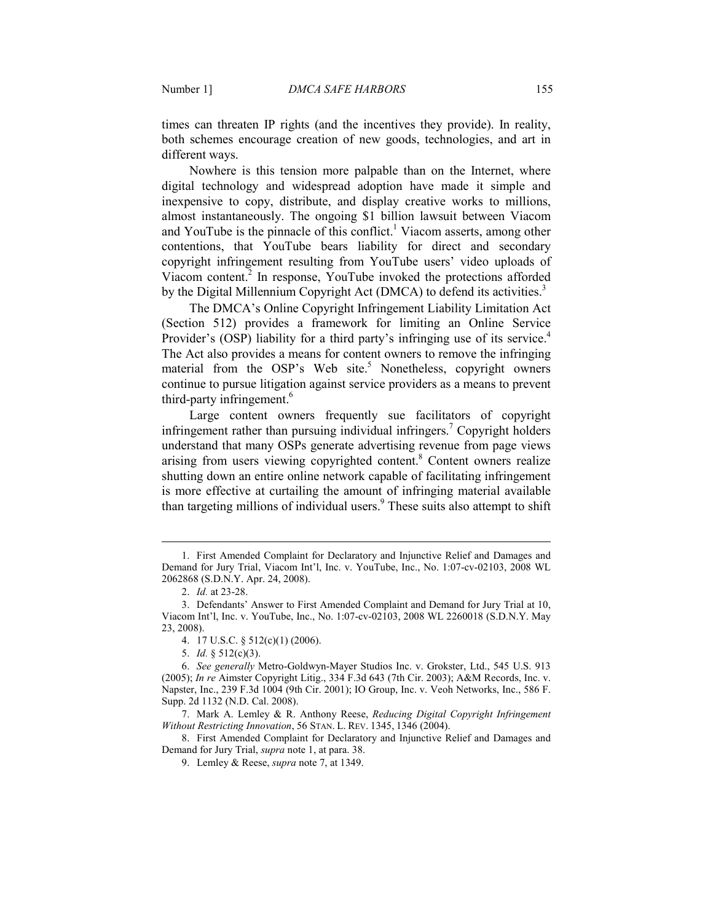times can threaten IP rights (and the incentives they provide). In reality, both schemes encourage creation of new goods, technologies, and art in different ways.

Nowhere is this tension more palpable than on the Internet, where digital technology and widespread adoption have made it simple and inexpensive to copy, distribute, and display creative works to millions, almost instantaneously. The ongoing \$1 billion lawsuit between Viacom and YouTube is the pinnacle of this conflict.<sup>1</sup> Viacom asserts, among other contentions, that YouTube bears liability for direct and secondary copyright infringement resulting from YouTube users' video uploads of Viacom content.<sup>2</sup> In response, YouTube invoked the protections afforded by the Digital Millennium Copyright Act (DMCA) to defend its activities.<sup>3</sup>

The DMCA's Online Copyright Infringement Liability Limitation Act (Section 512) provides a framework for limiting an Online Service Provider's (OSP) liability for a third party's infringing use of its service.<sup>4</sup> The Act also provides a means for content owners to remove the infringing material from the OSP's Web site.<sup>5</sup> Nonetheless, copyright owners continue to pursue litigation against service providers as a means to prevent third-party infringement.<sup>6</sup>

Large content owners frequently sue facilitators of copyright infringement rather than pursuing individual infringers.<sup>7</sup> Copyright holders understand that many OSPs generate advertising revenue from page views arising from users viewing copyrighted content.<sup>8</sup> Content owners realize shutting down an entire online network capable of facilitating infringement is more effective at curtailing the amount of infringing material available than targeting millions of individual users.<sup>9</sup> These suits also attempt to shift

-

 8. First Amended Complaint for Declaratory and Injunctive Relief and Damages and Demand for Jury Trial, *supra* note 1, at para. 38.

 <sup>1.</sup> First Amended Complaint for Declaratory and Injunctive Relief and Damages and Demand for Jury Trial, Viacom Int'l, Inc. v. YouTube, Inc., No. 1:07-cv-02103, 2008 WL 2062868 (S.D.N.Y. Apr. 24, 2008).

 <sup>2.</sup> *Id.* at 23-28.

 <sup>3.</sup> Defendants' Answer to First Amended Complaint and Demand for Jury Trial at 10, Viacom Int'l, Inc. v. YouTube, Inc., No. 1:07-cv-02103, 2008 WL 2260018 (S.D.N.Y. May 23, 2008).

 <sup>4. 17</sup> U.S.C. § 512(c)(1) (2006).

 <sup>5.</sup> *Id.* § 512(c)(3).

 <sup>6.</sup> *See generally* Metro-Goldwyn-Mayer Studios Inc. v. Grokster, Ltd., 545 U.S. 913 (2005); *In re* Aimster Copyright Litig., 334 F.3d 643 (7th Cir. 2003); A&M Records, Inc. v. Napster, Inc., 239 F.3d 1004 (9th Cir. 2001); IO Group, Inc. v. Veoh Networks, Inc., 586 F. Supp. 2d 1132 (N.D. Cal. 2008).

 <sup>7.</sup> Mark A. Lemley & R. Anthony Reese, *Reducing Digital Copyright Infringement Without Restricting Innovation*, 56 STAN. L. REV. 1345, 1346 (2004).

 <sup>9.</sup> Lemley & Reese, *supra* note 7, at 1349.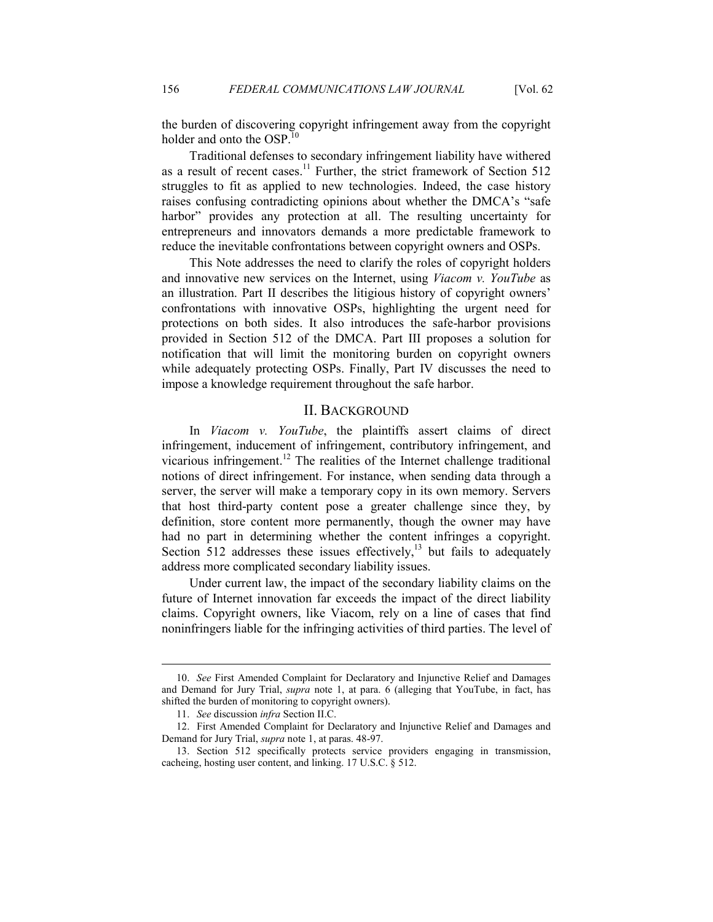the burden of discovering copyright infringement away from the copyright holder and onto the OSP.<sup>10</sup>

Traditional defenses to secondary infringement liability have withered as a result of recent cases.<sup>11</sup> Further, the strict framework of Section 512 struggles to fit as applied to new technologies. Indeed, the case history raises confusing contradicting opinions about whether the DMCA's "safe harbor" provides any protection at all. The resulting uncertainty for entrepreneurs and innovators demands a more predictable framework to reduce the inevitable confrontations between copyright owners and OSPs.

This Note addresses the need to clarify the roles of copyright holders and innovative new services on the Internet, using *Viacom v. YouTube* as an illustration. Part II describes the litigious history of copyright owners' confrontations with innovative OSPs, highlighting the urgent need for protections on both sides. It also introduces the safe-harbor provisions provided in Section 512 of the DMCA. Part III proposes a solution for notification that will limit the monitoring burden on copyright owners while adequately protecting OSPs. Finally, Part IV discusses the need to impose a knowledge requirement throughout the safe harbor.

## II. BACKGROUND

In *Viacom v. YouTube*, the plaintiffs assert claims of direct infringement, inducement of infringement, contributory infringement, and vicarious infringement.<sup>12</sup> The realities of the Internet challenge traditional notions of direct infringement. For instance, when sending data through a server, the server will make a temporary copy in its own memory. Servers that host third-party content pose a greater challenge since they, by definition, store content more permanently, though the owner may have had no part in determining whether the content infringes a copyright. Section  $512$  addresses these issues effectively,<sup>13</sup> but fails to adequately address more complicated secondary liability issues.

Under current law, the impact of the secondary liability claims on the future of Internet innovation far exceeds the impact of the direct liability claims. Copyright owners, like Viacom, rely on a line of cases that find noninfringers liable for the infringing activities of third parties. The level of

-

 <sup>10.</sup> *See* First Amended Complaint for Declaratory and Injunctive Relief and Damages and Demand for Jury Trial, *supra* note 1, at para. 6 (alleging that YouTube, in fact, has shifted the burden of monitoring to copyright owners).

 <sup>11.</sup> *See* discussion *infra* Section II.C.

 <sup>12.</sup> First Amended Complaint for Declaratory and Injunctive Relief and Damages and Demand for Jury Trial, *supra* note 1, at paras. 48-97.

 <sup>13.</sup> Section 512 specifically protects service providers engaging in transmission, cacheing, hosting user content, and linking. 17 U.S.C. § 512.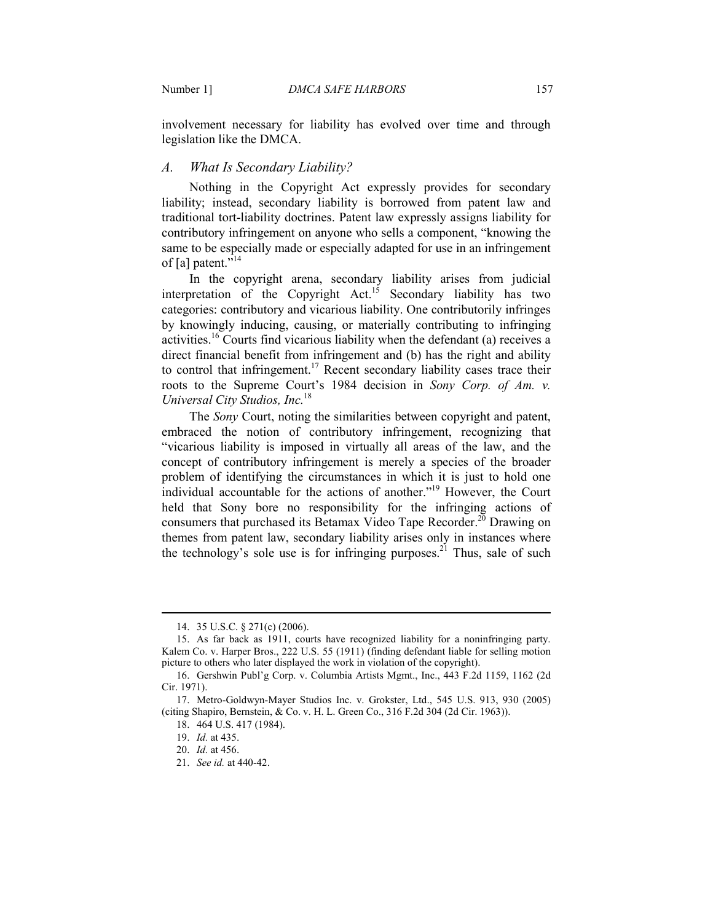involvement necessary for liability has evolved over time and through legislation like the DMCA.

## *A. What Is Secondary Liability?*

Nothing in the Copyright Act expressly provides for secondary liability; instead, secondary liability is borrowed from patent law and traditional tort-liability doctrines. Patent law expressly assigns liability for contributory infringement on anyone who sells a component, "knowing the same to be especially made or especially adapted for use in an infringement of [a] patent."<sup>14</sup>

In the copyright arena, secondary liability arises from judicial interpretation of the Copyright  $Act.<sup>15</sup>$  Secondary liability has two categories: contributory and vicarious liability. One contributorily infringes by knowingly inducing, causing, or materially contributing to infringing activities.<sup>16</sup> Courts find vicarious liability when the defendant (a) receives a direct financial benefit from infringement and (b) has the right and ability to control that infringement.<sup>17</sup> Recent secondary liability cases trace their roots to the Supreme Court's 1984 decision in *Sony Corp. of Am. v. Universal City Studios, Inc.*<sup>18</sup>

The *Sony* Court, noting the similarities between copyright and patent, embraced the notion of contributory infringement, recognizing that "vicarious liability is imposed in virtually all areas of the law, and the concept of contributory infringement is merely a species of the broader problem of identifying the circumstances in which it is just to hold one individual accountable for the actions of another."<sup>19</sup> However, the Court held that Sony bore no responsibility for the infringing actions of consumers that purchased its Betamax Video Tape Recorder.<sup>20</sup> Drawing on themes from patent law, secondary liability arises only in instances where the technology's sole use is for infringing purposes.<sup>21</sup> Thus, sale of such

 <sup>14. 35</sup> U.S.C. § 271(c) (2006).

 <sup>15.</sup> As far back as 1911, courts have recognized liability for a noninfringing party. Kalem Co. v. Harper Bros., 222 U.S. 55 (1911) (finding defendant liable for selling motion picture to others who later displayed the work in violation of the copyright).

 <sup>16.</sup> Gershwin Publ'g Corp. v. Columbia Artists Mgmt., Inc., 443 F.2d 1159, 1162 (2d Cir. 1971).

 <sup>17.</sup> Metro-Goldwyn-Mayer Studios Inc. v. Grokster, Ltd., 545 U.S. 913, 930 (2005) (citing Shapiro, Bernstein, & Co. v. H. L. Green Co., 316 F.2d 304 (2d Cir. 1963)).

 <sup>18. 464</sup> U.S. 417 (1984).

 <sup>19.</sup> *Id.* at 435.

 <sup>20.</sup> *Id.* at 456.

 <sup>21.</sup> *See id.* at 440-42.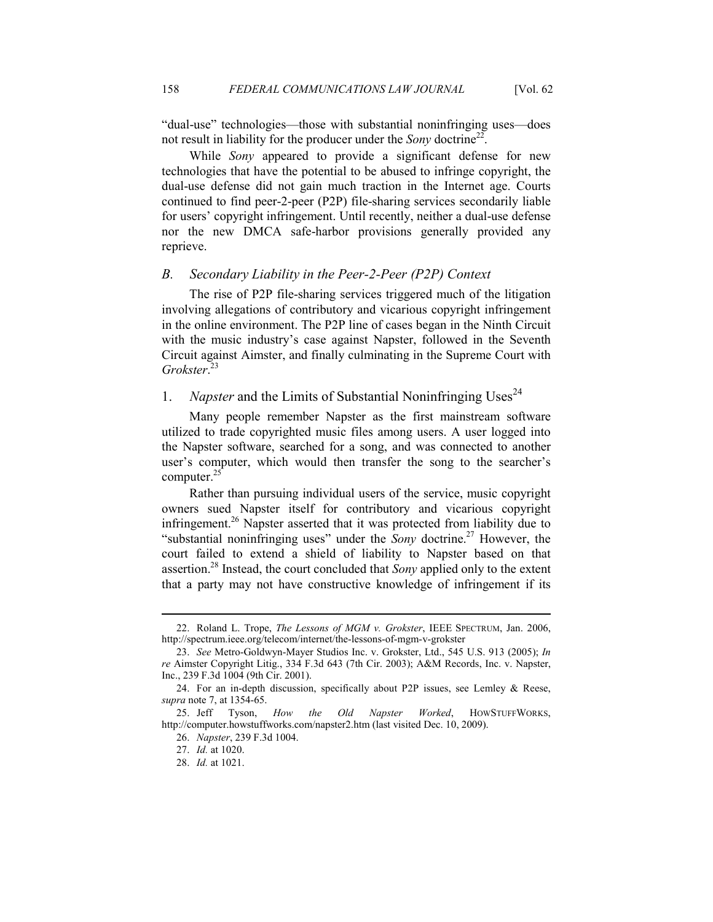"dual-use" technologies—those with substantial noninfringing uses—does not result in liability for the producer under the *Sony* doctrine<sup>22</sup>.

While *Sony* appeared to provide a significant defense for new technologies that have the potential to be abused to infringe copyright, the dual-use defense did not gain much traction in the Internet age. Courts continued to find peer-2-peer (P2P) file-sharing services secondarily liable for users' copyright infringement. Until recently, neither a dual-use defense nor the new DMCA safe-harbor provisions generally provided any reprieve.

#### *B. Secondary Liability in the Peer-2-Peer (P2P) Context*

The rise of P2P file-sharing services triggered much of the litigation involving allegations of contributory and vicarious copyright infringement in the online environment. The P2P line of cases began in the Ninth Circuit with the music industry's case against Napster, followed in the Seventh Circuit against Aimster, and finally culminating in the Supreme Court with *Grokster*. 23

## 1. Napster and the Limits of Substantial Noninfringing Uses<sup>24</sup>

Many people remember Napster as the first mainstream software utilized to trade copyrighted music files among users. A user logged into the Napster software, searched for a song, and was connected to another user's computer, which would then transfer the song to the searcher's computer. $^{25}$ 

Rather than pursuing individual users of the service, music copyright owners sued Napster itself for contributory and vicarious copyright infringement.<sup>26</sup> Napster asserted that it was protected from liability due to "substantial noninfringing uses" under the *Sony* doctrine.<sup>27</sup> However, the court failed to extend a shield of liability to Napster based on that assertion.<sup>28</sup> Instead, the court concluded that *Sony* applied only to the extent that a party may not have constructive knowledge of infringement if its

 <sup>22.</sup> Roland L. Trope, *The Lessons of MGM v. Grokster*, IEEE SPECTRUM, Jan. 2006, http://spectrum.ieee.org/telecom/internet/the-lessons-of-mgm-v-grokster

 <sup>23.</sup> *See* Metro-Goldwyn-Mayer Studios Inc. v. Grokster, Ltd., 545 U.S. 913 (2005); *In re* Aimster Copyright Litig., 334 F.3d 643 (7th Cir. 2003); A&M Records, Inc. v. Napster, Inc., 239 F.3d 1004 (9th Cir. 2001).

 <sup>24.</sup> For an in-depth discussion, specifically about P2P issues, see Lemley & Reese, *supra* note 7, at 1354-65.

 <sup>25.</sup> Jeff Tyson, *How the Old apster Worked*, HOWSTUFFWORKS, http://computer.howstuffworks.com/napster2.htm (last visited Dec. 10, 2009).

 <sup>26.</sup> *apster*, 239 F.3d 1004.

 <sup>27.</sup> *Id.* at 1020.

 <sup>28.</sup> *Id.* at 1021.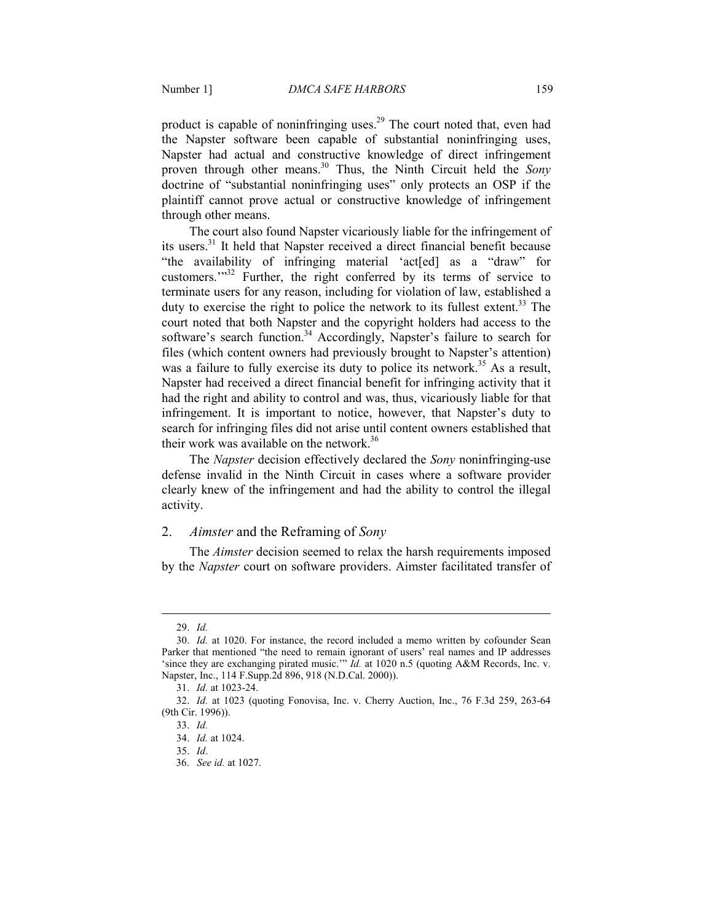product is capable of noninfringing uses.<sup>29</sup> The court noted that, even had the Napster software been capable of substantial noninfringing uses, Napster had actual and constructive knowledge of direct infringement proven through other means.<sup>30</sup> Thus, the Ninth Circuit held the *Sony* doctrine of "substantial noninfringing uses" only protects an OSP if the plaintiff cannot prove actual or constructive knowledge of infringement through other means.

The court also found Napster vicariously liable for the infringement of its users.<sup>31</sup> It held that Napster received a direct financial benefit because "the availability of infringing material 'act[ed] as a "draw" for customers.'"<sup>32</sup> Further, the right conferred by its terms of service to terminate users for any reason, including for violation of law, established a duty to exercise the right to police the network to its fullest extent.<sup>33</sup> The court noted that both Napster and the copyright holders had access to the software's search function.<sup>34</sup> Accordingly, Napster's failure to search for files (which content owners had previously brought to Napster's attention) was a failure to fully exercise its duty to police its network.<sup>35</sup> As a result, Napster had received a direct financial benefit for infringing activity that it had the right and ability to control and was, thus, vicariously liable for that infringement. It is important to notice, however, that Napster's duty to search for infringing files did not arise until content owners established that their work was available on the network.<sup>36</sup>

The *Napster* decision effectively declared the *Sony* noninfringing-use defense invalid in the Ninth Circuit in cases where a software provider clearly knew of the infringement and had the ability to control the illegal activity.

#### 2. *Aimster* and the Reframing of *Sony*

The *Aimster* decision seemed to relax the harsh requirements imposed by the *Napster* court on software providers. Aimster facilitated transfer of

<u>.</u>

35. *Id*.

 <sup>29.</sup> *Id.*

 <sup>30.</sup> *Id.* at 1020. For instance, the record included a memo written by cofounder Sean Parker that mentioned "the need to remain ignorant of users' real names and IP addresses 'since they are exchanging pirated music.'" *Id.* at 1020 n.5 (quoting A&M Records, Inc. v. Napster, Inc., 114 F.Supp.2d 896, 918 (N.D.Cal. 2000)).

 <sup>31.</sup> *Id.* at 1023-24.

 <sup>32.</sup> *Id.* at 1023 (quoting Fonovisa, Inc. v. Cherry Auction, Inc., 76 F.3d 259, 263-64 (9th Cir. 1996)).

 <sup>33.</sup> *Id.*

 <sup>34.</sup> *Id.* at 1024.

 <sup>36.</sup> *See id.* at 1027.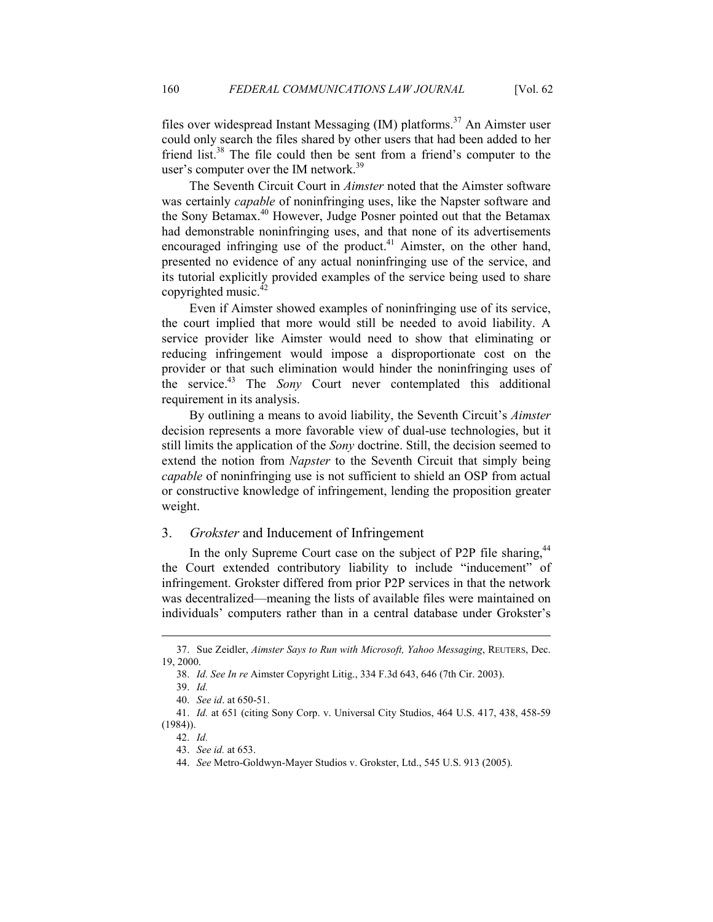files over widespread Instant Messaging  $(IM)$  platforms.<sup>37</sup> An Aimster user could only search the files shared by other users that had been added to her friend list.<sup>38</sup> The file could then be sent from a friend's computer to the user's computer over the IM network.<sup>39</sup>

The Seventh Circuit Court in *Aimster* noted that the Aimster software was certainly *capable* of noninfringing uses, like the Napster software and the Sony Betamax.<sup>40</sup> However, Judge Posner pointed out that the Betamax had demonstrable noninfringing uses, and that none of its advertisements encouraged infringing use of the product.<sup>41</sup> Aimster, on the other hand, presented no evidence of any actual noninfringing use of the service, and its tutorial explicitly provided examples of the service being used to share copyrighted music.<sup>42</sup>

Even if Aimster showed examples of noninfringing use of its service, the court implied that more would still be needed to avoid liability. A service provider like Aimster would need to show that eliminating or reducing infringement would impose a disproportionate cost on the provider or that such elimination would hinder the noninfringing uses of the service.<sup>43</sup> The *Sony* Court never contemplated this additional requirement in its analysis.

By outlining a means to avoid liability, the Seventh Circuit's *Aimster* decision represents a more favorable view of dual-use technologies, but it still limits the application of the *Sony* doctrine. Still, the decision seemed to extend the notion from *Napster* to the Seventh Circuit that simply being *capable* of noninfringing use is not sufficient to shield an OSP from actual or constructive knowledge of infringement, lending the proposition greater weight.

## 3. *Grokster* and Inducement of Infringement

In the only Supreme Court case on the subject of P2P file sharing,  $44$ the Court extended contributory liability to include "inducement" of infringement. Grokster differed from prior P2P services in that the network was decentralized—meaning the lists of available files were maintained on individuals' computers rather than in a central database under Grokster's

-

 <sup>37.</sup> Sue Zeidler, *Aimster Says to Run with Microsoft, Yahoo Messaging*, REUTERS, Dec. 19, 2000.

 <sup>38.</sup> *Id. See In re* Aimster Copyright Litig., 334 F.3d 643, 646 (7th Cir. 2003).

 <sup>39.</sup> *Id.*

 <sup>40.</sup> *See id*. at 650-51.

 <sup>41.</sup> *Id.* at 651 (citing Sony Corp. v. Universal City Studios, 464 U.S. 417, 438, 458-59 (1984)).

 <sup>42.</sup> *Id.*

 <sup>43.</sup> *See id.* at 653.

 <sup>44.</sup> *See* Metro-Goldwyn-Mayer Studios v. Grokster, Ltd., 545 U.S. 913 (2005).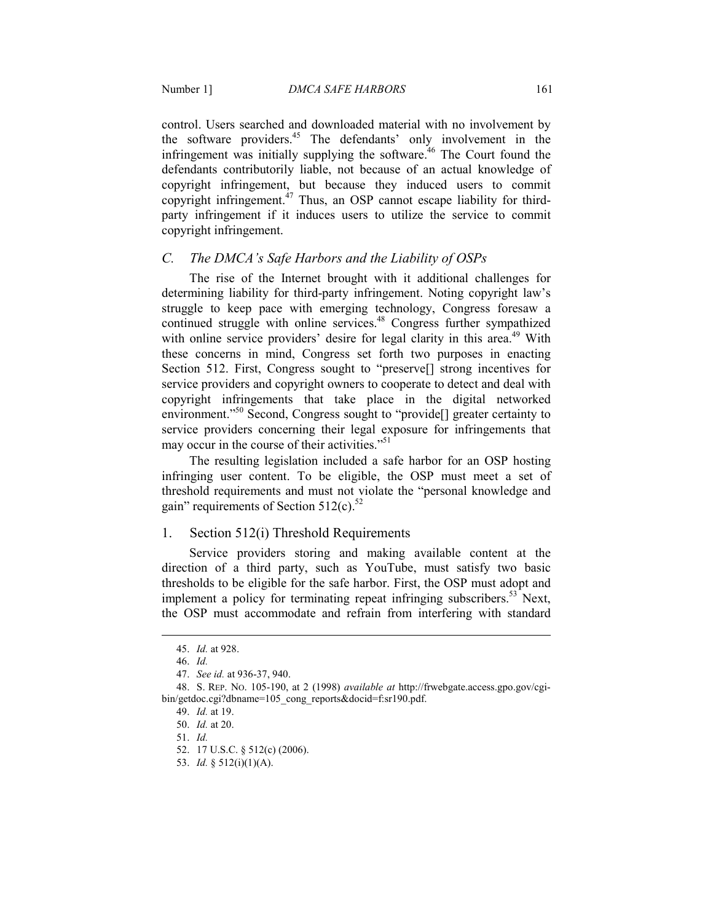control. Users searched and downloaded material with no involvement by the software providers.<sup>45</sup> The defendants' only involvement in the infringement was initially supplying the software.<sup> $46$ </sup> The Court found the defendants contributorily liable, not because of an actual knowledge of copyright infringement, but because they induced users to commit copyright infringement.<sup>47</sup> Thus, an OSP cannot escape liability for thirdparty infringement if it induces users to utilize the service to commit copyright infringement.

#### *C. The DMCA's Safe Harbors and the Liability of OSPs*

The rise of the Internet brought with it additional challenges for determining liability for third-party infringement. Noting copyright law's struggle to keep pace with emerging technology, Congress foresaw a continued struggle with online services.<sup>48</sup> Congress further sympathized with online service providers' desire for legal clarity in this area.<sup>49</sup> With these concerns in mind, Congress set forth two purposes in enacting Section 512. First, Congress sought to "preserve[] strong incentives for service providers and copyright owners to cooperate to detect and deal with copyright infringements that take place in the digital networked environment."<sup>50</sup> Second, Congress sought to "provide[] greater certainty to service providers concerning their legal exposure for infringements that may occur in the course of their activities."<sup>51</sup>

The resulting legislation included a safe harbor for an OSP hosting infringing user content. To be eligible, the OSP must meet a set of threshold requirements and must not violate the "personal knowledge and gain" requirements of Section  $512(c)$ .<sup>52</sup>

#### 1. Section 512(i) Threshold Requirements

Service providers storing and making available content at the direction of a third party, such as YouTube, must satisfy two basic thresholds to be eligible for the safe harbor. First, the OSP must adopt and implement a policy for terminating repeat infringing subscribers.<sup>53</sup> Next, the OSP must accommodate and refrain from interfering with standard

 <sup>45.</sup> *Id.* at 928.

 <sup>46.</sup> *Id.*

 <sup>47.</sup> *See id.* at 936-37, 940.

 <sup>48.</sup> S. REP. NO. 105-190, at 2 (1998) *available at* http://frwebgate.access.gpo.gov/cgibin/getdoc.cgi?dbname=105\_cong\_reports&docid=f:sr190.pdf.

 <sup>49.</sup> *Id.* at 19.

 <sup>50.</sup> *Id.* at 20.

 <sup>51.</sup> *Id.*

 <sup>52. 17</sup> U.S.C. § 512(c) (2006).

 <sup>53.</sup> *Id.* § 512(i)(1)(A).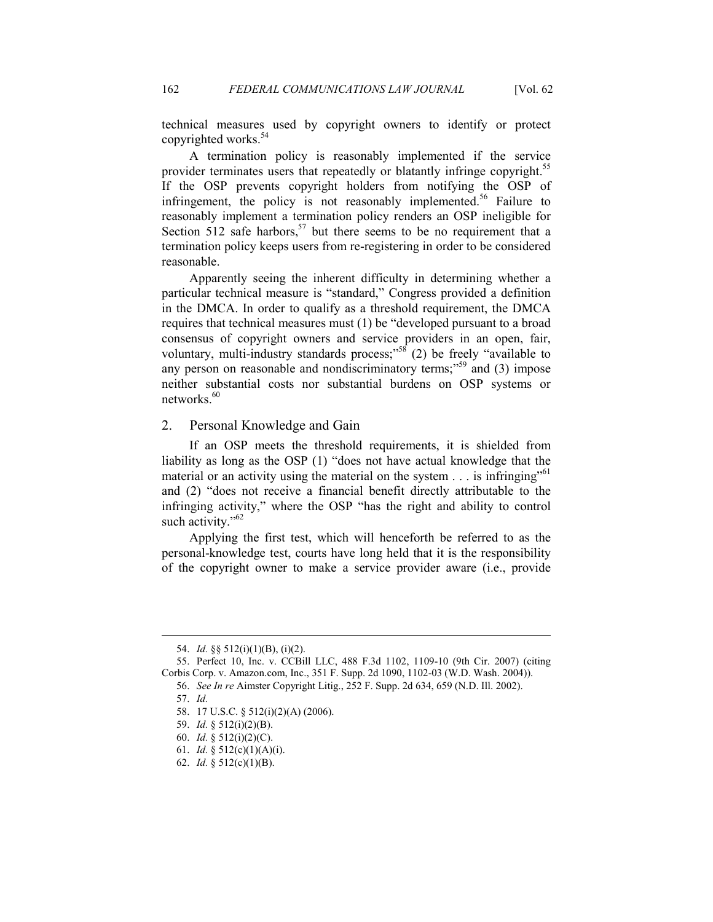technical measures used by copyright owners to identify or protect copyrighted works.<sup>54</sup>

A termination policy is reasonably implemented if the service provider terminates users that repeatedly or blatantly infringe copyright.<sup>55</sup> If the OSP prevents copyright holders from notifying the OSP of infringement, the policy is not reasonably implemented.<sup>56</sup> Failure to reasonably implement a termination policy renders an OSP ineligible for Section 512 safe harbors,<sup>57</sup> but there seems to be no requirement that a termination policy keeps users from re-registering in order to be considered reasonable.

Apparently seeing the inherent difficulty in determining whether a particular technical measure is "standard," Congress provided a definition in the DMCA. In order to qualify as a threshold requirement, the DMCA requires that technical measures must (1) be "developed pursuant to a broad consensus of copyright owners and service providers in an open, fair, voluntary, multi-industry standards process;" $58$  (2) be freely "available to any person on reasonable and nondiscriminatory terms;<sup> $39$ </sup> and (3) impose neither substantial costs nor substantial burdens on OSP systems or networks.<sup>60</sup>

## 2. Personal Knowledge and Gain

If an OSP meets the threshold requirements, it is shielded from liability as long as the OSP (1) "does not have actual knowledge that the material or an activity using the material on the system  $\ldots$  is infringing<sup>"61</sup> and (2) "does not receive a financial benefit directly attributable to the infringing activity," where the OSP "has the right and ability to control such activity." $62$ 

Applying the first test, which will henceforth be referred to as the personal-knowledge test, courts have long held that it is the responsibility of the copyright owner to make a service provider aware (i.e., provide

57. *Id.* 

 <sup>54.</sup> *Id.* §§ 512(i)(1)(B), (i)(2).

 <sup>55.</sup> Perfect 10, Inc. v. CCBill LLC, 488 F.3d 1102, 1109-10 (9th Cir. 2007) (citing Corbis Corp. v. Amazon.com, Inc., 351 F. Supp. 2d 1090, 1102-03 (W.D. Wash. 2004)).

 <sup>56.</sup> *See In re* Aimster Copyright Litig., 252 F. Supp. 2d 634, 659 (N.D. Ill. 2002).

 <sup>58. 17</sup> U.S.C. § 512(i)(2)(A) (2006).

 <sup>59.</sup> *Id.* § 512(i)(2)(B).

 <sup>60.</sup> *Id.* § 512(i)(2)(C).

 <sup>61.</sup> *Id.* § 512(c)(1)(A)(i).

 <sup>62.</sup> *Id.* § 512(c)(1)(B).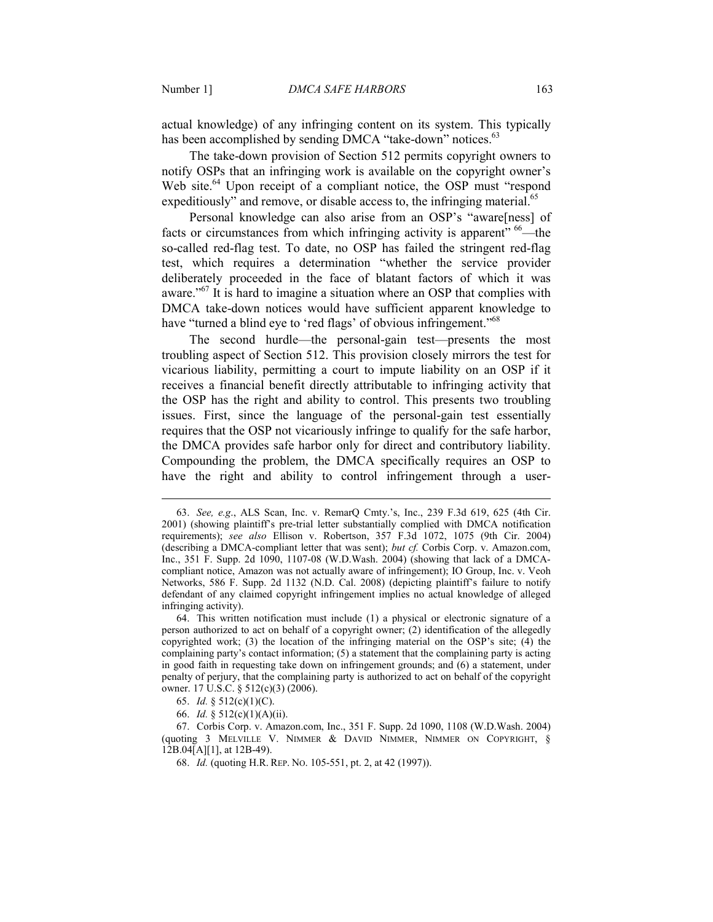actual knowledge) of any infringing content on its system. This typically has been accomplished by sending DMCA "take-down" notices.<sup>63</sup>

The take-down provision of Section 512 permits copyright owners to notify OSPs that an infringing work is available on the copyright owner's Web site.<sup>64</sup> Upon receipt of a compliant notice, the OSP must "respond expeditiously" and remove, or disable access to, the infringing material. $^{65}$ 

Personal knowledge can also arise from an OSP's "aware[ness] of facts or circumstances from which infringing activity is apparent"  $66$ —the so-called red-flag test. To date, no OSP has failed the stringent red-flag test, which requires a determination "whether the service provider deliberately proceeded in the face of blatant factors of which it was aware."<sup>67</sup> It is hard to imagine a situation where an OSP that complies with DMCA take-down notices would have sufficient apparent knowledge to have "turned a blind eye to 'red flags' of obvious infringement."<sup>68</sup>

The second hurdle—the personal-gain test—presents the most troubling aspect of Section 512. This provision closely mirrors the test for vicarious liability, permitting a court to impute liability on an OSP if it receives a financial benefit directly attributable to infringing activity that the OSP has the right and ability to control. This presents two troubling issues. First, since the language of the personal-gain test essentially requires that the OSP not vicariously infringe to qualify for the safe harbor, the DMCA provides safe harbor only for direct and contributory liability. Compounding the problem, the DMCA specifically requires an OSP to have the right and ability to control infringement through a user-

 <sup>63.</sup> *See, e.g*., ALS Scan, Inc. v. RemarQ Cmty.'s, Inc., 239 F.3d 619, 625 (4th Cir. 2001) (showing plaintiff's pre-trial letter substantially complied with DMCA notification requirements); *see also* Ellison v. Robertson, 357 F.3d 1072, 1075 (9th Cir. 2004) (describing a DMCA-compliant letter that was sent); *but cf.* Corbis Corp. v. Amazon.com, Inc., 351 F. Supp. 2d 1090, 1107-08 (W.D.Wash. 2004) (showing that lack of a DMCAcompliant notice, Amazon was not actually aware of infringement); IO Group, Inc. v. Veoh Networks, 586 F. Supp. 2d 1132 (N.D. Cal. 2008) (depicting plaintiff's failure to notify defendant of any claimed copyright infringement implies no actual knowledge of alleged infringing activity).

 <sup>64.</sup> This written notification must include (1) a physical or electronic signature of a person authorized to act on behalf of a copyright owner; (2) identification of the allegedly copyrighted work; (3) the location of the infringing material on the OSP's site; (4) the complaining party's contact information; (5) a statement that the complaining party is acting in good faith in requesting take down on infringement grounds; and (6) a statement, under penalty of perjury, that the complaining party is authorized to act on behalf of the copyright owner. 17 U.S.C. § 512(c)(3) (2006).

 <sup>65.</sup> *Id.* § 512(c)(1)(C).

 <sup>66.</sup> *Id.* § 512(c)(1)(A)(ii).

 <sup>67.</sup> Corbis Corp. v. Amazon.com, Inc., 351 F. Supp. 2d 1090, 1108 (W.D.Wash. 2004) (quoting 3 MELVILLE V. NIMMER & DAVID NIMMER, NIMMER ON COPYRIGHT, § 12B.04[A][1], at 12B-49).

 <sup>68.</sup> *Id.* (quoting H.R. REP. NO. 105-551, pt. 2, at 42 (1997)).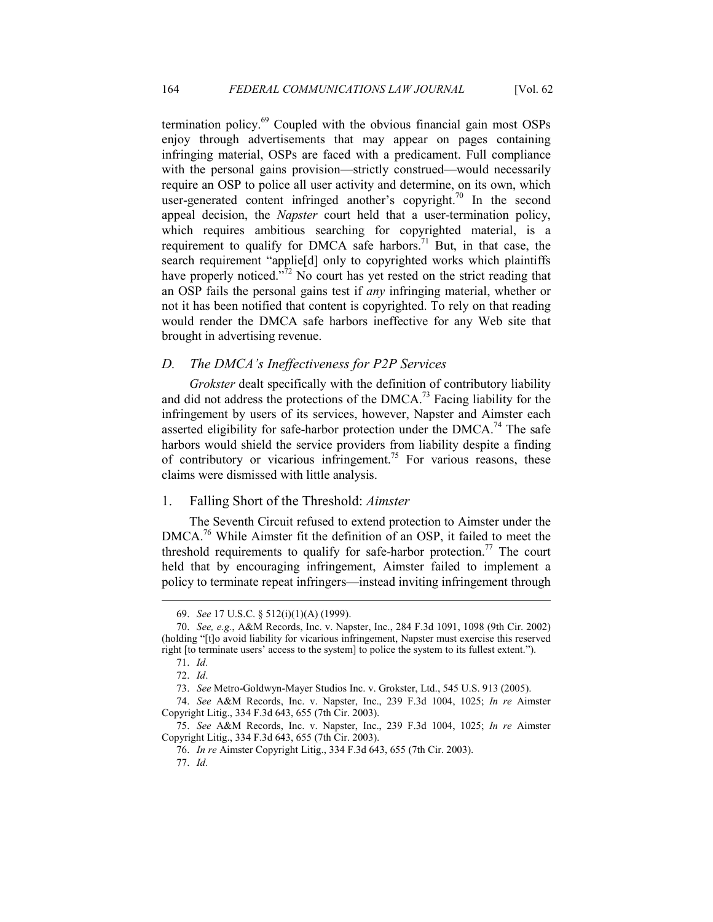termination policy.<sup>69</sup> Coupled with the obvious financial gain most OSPs enjoy through advertisements that may appear on pages containing infringing material, OSPs are faced with a predicament. Full compliance with the personal gains provision—strictly construed—would necessarily require an OSP to police all user activity and determine, on its own, which user-generated content infringed another's copyright.<sup>70</sup> In the second appeal decision, the *Napster* court held that a user-termination policy, which requires ambitious searching for copyrighted material, is a requirement to qualify for DMCA safe harbors.<sup>71</sup> But, in that case, the search requirement "applie[d] only to copyrighted works which plaintiffs have properly noticed."<sup>72</sup> No court has yet rested on the strict reading that an OSP fails the personal gains test if *any* infringing material, whether or not it has been notified that content is copyrighted. To rely on that reading would render the DMCA safe harbors ineffective for any Web site that brought in advertising revenue.

## *D. The DMCA's Ineffectiveness for P2P Services*

*Grokster* dealt specifically with the definition of contributory liability and did not address the protections of the DMCA.<sup>73</sup> Facing liability for the infringement by users of its services, however, Napster and Aimster each asserted eligibility for safe-harbor protection under the DMCA.<sup>74</sup> The safe harbors would shield the service providers from liability despite a finding of contributory or vicarious infringement.<sup>75</sup> For various reasons, these claims were dismissed with little analysis.

## 1. Falling Short of the Threshold: *Aimster*

The Seventh Circuit refused to extend protection to Aimster under the DMCA.<sup>76</sup> While Aimster fit the definition of an OSP, it failed to meet the threshold requirements to qualify for safe-harbor protection.<sup>77</sup> The court held that by encouraging infringement, Aimster failed to implement a policy to terminate repeat infringers—instead inviting infringement through

 <sup>69.</sup> *See* 17 U.S.C. § 512(i)(1)(A) (1999).

 <sup>70.</sup> *See, e.g.*, A&M Records, Inc. v. Napster, Inc., 284 F.3d 1091, 1098 (9th Cir. 2002) (holding "[t]o avoid liability for vicarious infringement, Napster must exercise this reserved right [to terminate users' access to the system] to police the system to its fullest extent.").

 <sup>71.</sup> *Id.*

 <sup>72.</sup> *Id*.

 <sup>73.</sup> *See* Metro-Goldwyn-Mayer Studios Inc. v. Grokster, Ltd., 545 U.S. 913 (2005).

 <sup>74.</sup> *See* A&M Records, Inc. v. Napster, Inc., 239 F.3d 1004, 1025; *In re* Aimster Copyright Litig., 334 F.3d 643, 655 (7th Cir. 2003).

 <sup>75.</sup> *See* A&M Records, Inc. v. Napster, Inc., 239 F.3d 1004, 1025; *In re* Aimster Copyright Litig., 334 F.3d 643, 655 (7th Cir. 2003).

 <sup>76.</sup> *In re* Aimster Copyright Litig., 334 F.3d 643, 655 (7th Cir. 2003).

 <sup>77.</sup> *Id.*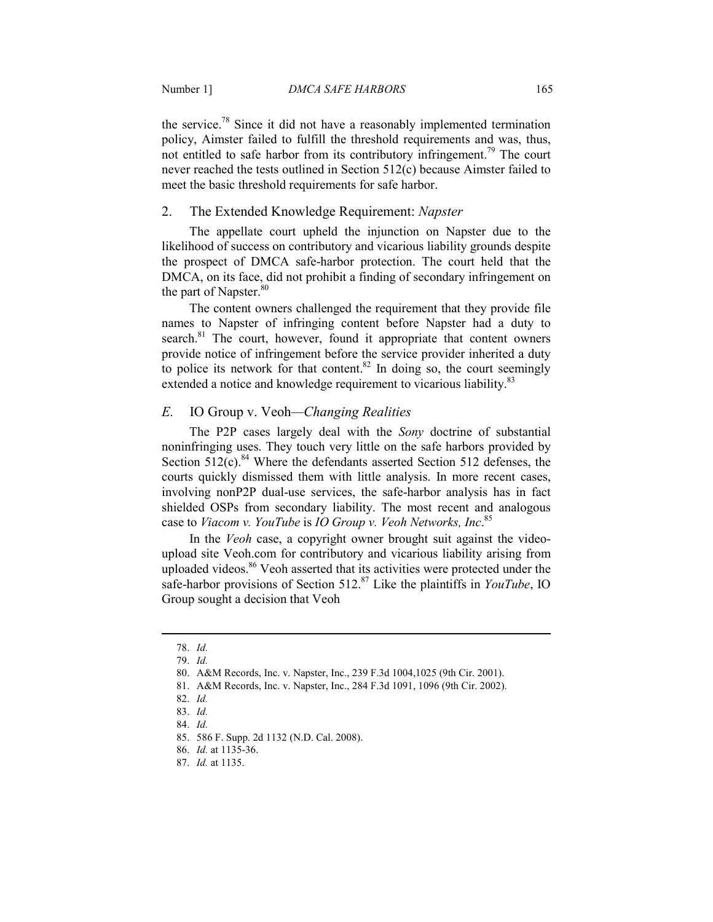the service.<sup>78</sup> Since it did not have a reasonably implemented termination policy, Aimster failed to fulfill the threshold requirements and was, thus, not entitled to safe harbor from its contributory infringement.<sup>79</sup> The court never reached the tests outlined in Section 512(c) because Aimster failed to meet the basic threshold requirements for safe harbor.

## 2. The Extended Knowledge Requirement: *Napster*

The appellate court upheld the injunction on Napster due to the likelihood of success on contributory and vicarious liability grounds despite the prospect of DMCA safe-harbor protection. The court held that the DMCA, on its face, did not prohibit a finding of secondary infringement on the part of Napster.<sup>80</sup>

The content owners challenged the requirement that they provide file names to Napster of infringing content before Napster had a duty to search.<sup>81</sup> The court, however, found it appropriate that content owners provide notice of infringement before the service provider inherited a duty to police its network for that content.<sup>82</sup> In doing so, the court seemingly extended a notice and knowledge requirement to vicarious liability.<sup>83</sup>

## *E.* IO Group v. Veoh*—Changing Realities*

The P2P cases largely deal with the *Sony* doctrine of substantial noninfringing uses. They touch very little on the safe harbors provided by Section  $512(c)$ .<sup>84</sup> Where the defendants asserted Section 512 defenses, the courts quickly dismissed them with little analysis. In more recent cases, involving nonP2P dual-use services, the safe-harbor analysis has in fact shielded OSPs from secondary liability. The most recent and analogous case to *Viacom v. YouTube* is *IO Group v. Veoh Networks, Inc.*<sup>85</sup>

In the *Veoh* case, a copyright owner brought suit against the videoupload site Veoh.com for contributory and vicarious liability arising from uploaded videos.<sup>86</sup> Veoh asserted that its activities were protected under the safe-harbor provisions of Section 512.<sup>87</sup> Like the plaintiffs in *YouTube*, IO Group sought a decision that Veoh

 <sup>78.</sup> *Id.*

 <sup>79.</sup> *Id.* 

 <sup>80.</sup> A&M Records, Inc. v. Napster, Inc., 239 F.3d 1004,1025 (9th Cir. 2001).

 <sup>81.</sup> A&M Records, Inc. v. Napster, Inc., 284 F.3d 1091, 1096 (9th Cir. 2002).

 <sup>82.</sup> *Id.*

 <sup>83.</sup> *Id.*

 <sup>84.</sup> *Id.*

 <sup>85. 586</sup> F. Supp. 2d 1132 (N.D. Cal. 2008).

 <sup>86.</sup> *Id.* at 1135-36.

 <sup>87.</sup> *Id.* at 1135.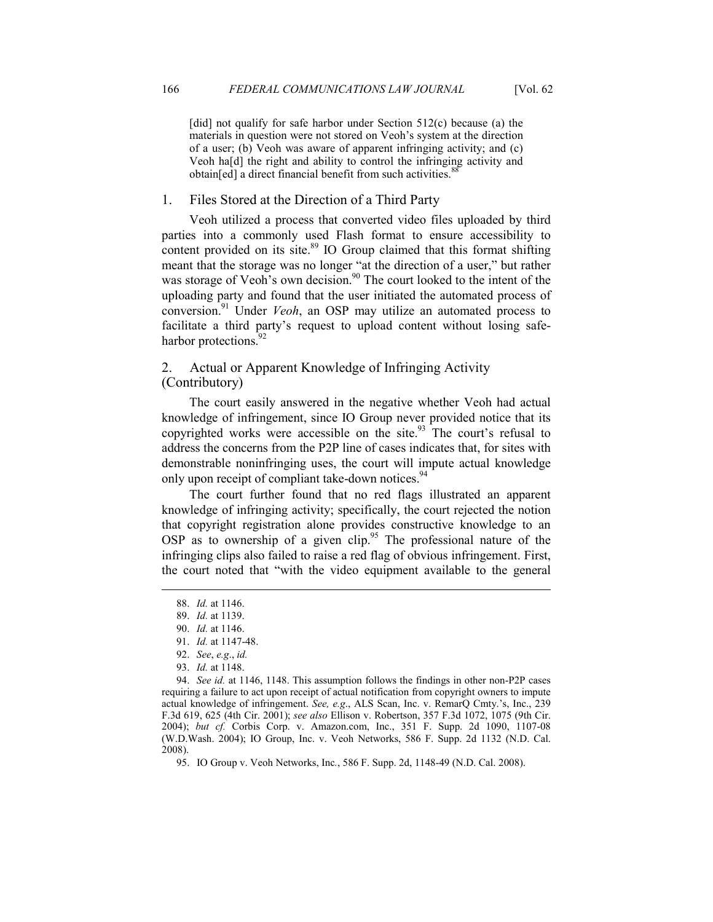[did] not qualify for safe harbor under Section  $512(c)$  because (a) the materials in question were not stored on Veoh's system at the direction of a user; (b) Veoh was aware of apparent infringing activity; and (c) Veoh ha[d] the right and ability to control the infringing activity and obtain[ed] a direct financial benefit from such activities.<sup>8</sup>

#### 1. Files Stored at the Direction of a Third Party

Veoh utilized a process that converted video files uploaded by third parties into a commonly used Flash format to ensure accessibility to content provided on its site.<sup>89</sup> IO Group claimed that this format shifting meant that the storage was no longer "at the direction of a user," but rather was storage of Veoh's own decision.<sup>90</sup> The court looked to the intent of the uploading party and found that the user initiated the automated process of conversion.<sup>91</sup> Under *Veoh*, an OSP may utilize an automated process to facilitate a third party's request to upload content without losing safeharbor protections.<sup>92</sup>

## 2. Actual or Apparent Knowledge of Infringing Activity (Contributory)

The court easily answered in the negative whether Veoh had actual knowledge of infringement, since IO Group never provided notice that its copyrighted works were accessible on the site.<sup>93</sup> The court's refusal to address the concerns from the P2P line of cases indicates that, for sites with demonstrable noninfringing uses, the court will impute actual knowledge only upon receipt of compliant take-down notices.<sup>94</sup>

The court further found that no red flags illustrated an apparent knowledge of infringing activity; specifically, the court rejected the notion that copyright registration alone provides constructive knowledge to an OSP as to ownership of a given clip.<sup>95</sup> The professional nature of the infringing clips also failed to raise a red flag of obvious infringement. First, the court noted that "with the video equipment available to the general

<u>.</u>

 94. *See id.* at 1146, 1148. This assumption follows the findings in other non-P2P cases requiring a failure to act upon receipt of actual notification from copyright owners to impute actual knowledge of infringement. *See, e.g*., ALS Scan, Inc. v. RemarQ Cmty.'s, Inc., 239 F.3d 619, 625 (4th Cir. 2001); *see also* Ellison v. Robertson, 357 F.3d 1072, 1075 (9th Cir. 2004); *but cf.* Corbis Corp. v. Amazon.com, Inc., 351 F. Supp. 2d 1090, 1107-08 (W.D.Wash. 2004); IO Group, Inc. v. Veoh Networks, 586 F. Supp. 2d 1132 (N.D. Cal. 2008).

 <sup>88.</sup> *Id.* at 1146.

 <sup>89.</sup> *Id.* at 1139.

 <sup>90.</sup> *Id.* at 1146.

 <sup>91.</sup> *Id.* at 1147-48.

 <sup>92.</sup> *See*, *e.g*., *id.*

 <sup>93.</sup> *Id.* at 1148.

 <sup>95.</sup> IO Group v. Veoh Networks, Inc*.*, 586 F. Supp. 2d, 1148-49 (N.D. Cal. 2008).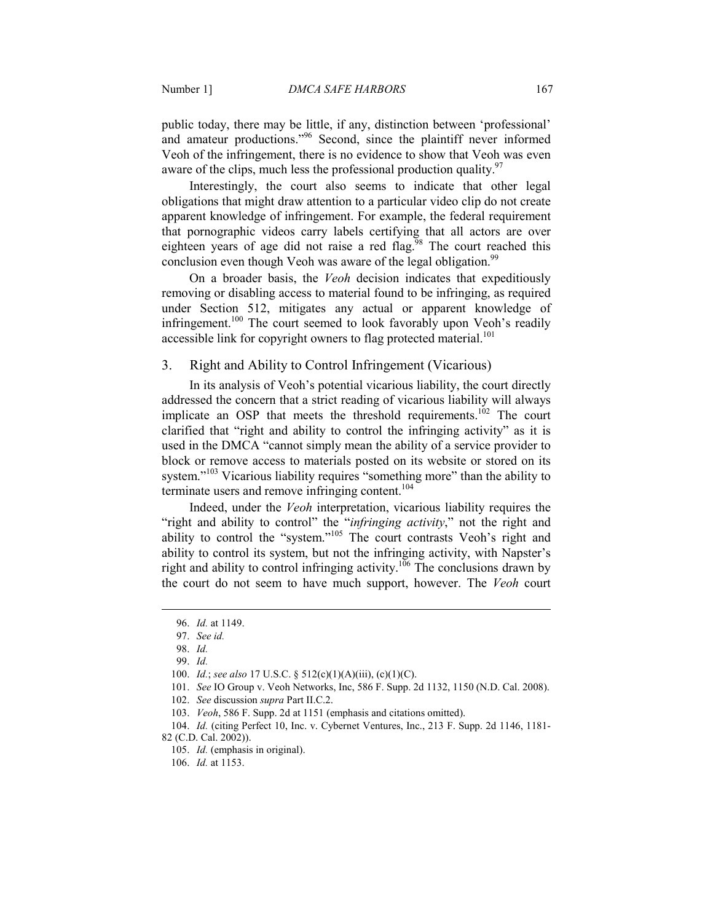public today, there may be little, if any, distinction between 'professional' and amateur productions."<sup>96</sup> Second, since the plaintiff never informed Veoh of the infringement, there is no evidence to show that Veoh was even aware of the clips, much less the professional production quality.  $97$ 

Interestingly, the court also seems to indicate that other legal obligations that might draw attention to a particular video clip do not create apparent knowledge of infringement. For example, the federal requirement that pornographic videos carry labels certifying that all actors are over eighteen years of age did not raise a red flag.<sup>98</sup> The court reached this conclusion even though Veoh was aware of the legal obligation.<sup>99</sup>

On a broader basis, the *Veoh* decision indicates that expeditiously removing or disabling access to material found to be infringing, as required under Section 512, mitigates any actual or apparent knowledge of infringement.<sup>100</sup> The court seemed to look favorably upon Veoh's readily accessible link for copyright owners to flag protected material.<sup>101</sup>

## 3. Right and Ability to Control Infringement (Vicarious)

In its analysis of Veoh's potential vicarious liability, the court directly addressed the concern that a strict reading of vicarious liability will always implicate an OSP that meets the threshold requirements.<sup>102</sup> The court clarified that "right and ability to control the infringing activity" as it is used in the DMCA "cannot simply mean the ability of a service provider to block or remove access to materials posted on its website or stored on its system."<sup>103</sup> Vicarious liability requires "something more" than the ability to terminate users and remove infringing content.<sup>104</sup>

Indeed, under the *Veoh* interpretation, vicarious liability requires the "right and ability to control" the "*infringing activity*," not the right and ability to control the "system."<sup>105</sup> The court contrasts Veoh's right and ability to control its system, but not the infringing activity, with Napster's right and ability to control infringing activity.<sup>106</sup> The conclusions drawn by the court do not seem to have much support, however. The *Veoh* court

 <sup>96.</sup> *Id.* at 1149.

 <sup>97.</sup> *See id.*

 <sup>98.</sup> *Id.*

 <sup>99.</sup> *Id.*

 <sup>100.</sup> *Id.*; *see also* 17 U.S.C. § 512(c)(1)(A)(iii), (c)(1)(C).

 <sup>101.</sup> *See* IO Group v. Veoh Networks, Inc, 586 F. Supp. 2d 1132, 1150 (N.D. Cal. 2008).

 <sup>102.</sup> *See* discussion *supra* Part II.C.2.

 <sup>103.</sup> *Veoh*, 586 F. Supp. 2d at 1151 (emphasis and citations omitted).

 <sup>104.</sup> *Id.* (citing Perfect 10, Inc. v. Cybernet Ventures, Inc., 213 F. Supp. 2d 1146, 1181- 82 (C.D. Cal. 2002)).

 <sup>105.</sup> *Id.* (emphasis in original).

 <sup>106.</sup> *Id.* at 1153.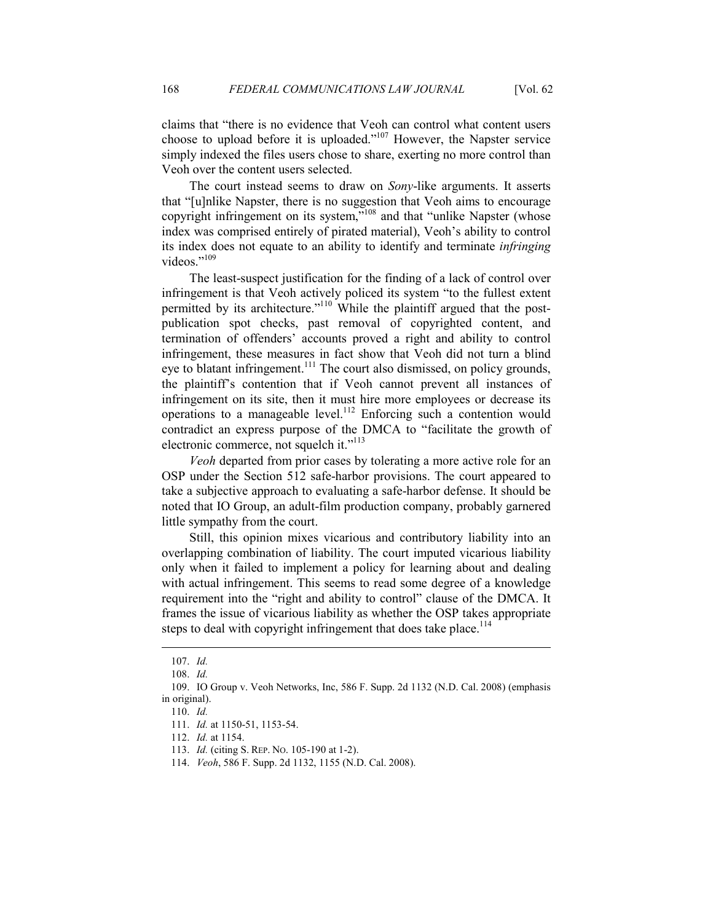claims that "there is no evidence that Veoh can control what content users choose to upload before it is uploaded."<sup>107</sup> However, the Napster service simply indexed the files users chose to share, exerting no more control than Veoh over the content users selected.

The court instead seems to draw on *Sony*-like arguments. It asserts that "[u]nlike Napster, there is no suggestion that Veoh aims to encourage copyright infringement on its system,"<sup>108</sup> and that "unlike Napster (whose index was comprised entirely of pirated material), Veoh's ability to control its index does not equate to an ability to identify and terminate *infringing* videos."<sup>109</sup>

The least-suspect justification for the finding of a lack of control over infringement is that Veoh actively policed its system "to the fullest extent permitted by its architecture."<sup>110</sup> While the plaintiff argued that the postpublication spot checks, past removal of copyrighted content, and termination of offenders' accounts proved a right and ability to control infringement, these measures in fact show that Veoh did not turn a blind eye to blatant infringement.<sup>111</sup> The court also dismissed, on policy grounds, the plaintiff's contention that if Veoh cannot prevent all instances of infringement on its site, then it must hire more employees or decrease its operations to a manageable level.<sup>112</sup> Enforcing such a contention would contradict an express purpose of the DMCA to "facilitate the growth of electronic commerce, not squelch it."<sup>113</sup>

*Veoh* departed from prior cases by tolerating a more active role for an OSP under the Section 512 safe-harbor provisions. The court appeared to take a subjective approach to evaluating a safe-harbor defense. It should be noted that IO Group, an adult-film production company, probably garnered little sympathy from the court.

Still, this opinion mixes vicarious and contributory liability into an overlapping combination of liability. The court imputed vicarious liability only when it failed to implement a policy for learning about and dealing with actual infringement. This seems to read some degree of a knowledge requirement into the "right and ability to control" clause of the DMCA. It frames the issue of vicarious liability as whether the OSP takes appropriate steps to deal with copyright infringement that does take place.<sup>114</sup>

 <sup>107.</sup> *Id.*

 <sup>108.</sup> *Id.*

 <sup>109.</sup> IO Group v. Veoh Networks, Inc, 586 F. Supp. 2d 1132 (N.D. Cal. 2008) (emphasis in original).

 <sup>110.</sup> *Id.*

 <sup>111.</sup> *Id.* at 1150-51, 1153-54.

 <sup>112.</sup> *Id.* at 1154.

 <sup>113.</sup> *Id.* (citing S. REP. NO. 105-190 at 1-2).

 <sup>114.</sup> *Veoh*, 586 F. Supp. 2d 1132, 1155 (N.D. Cal. 2008).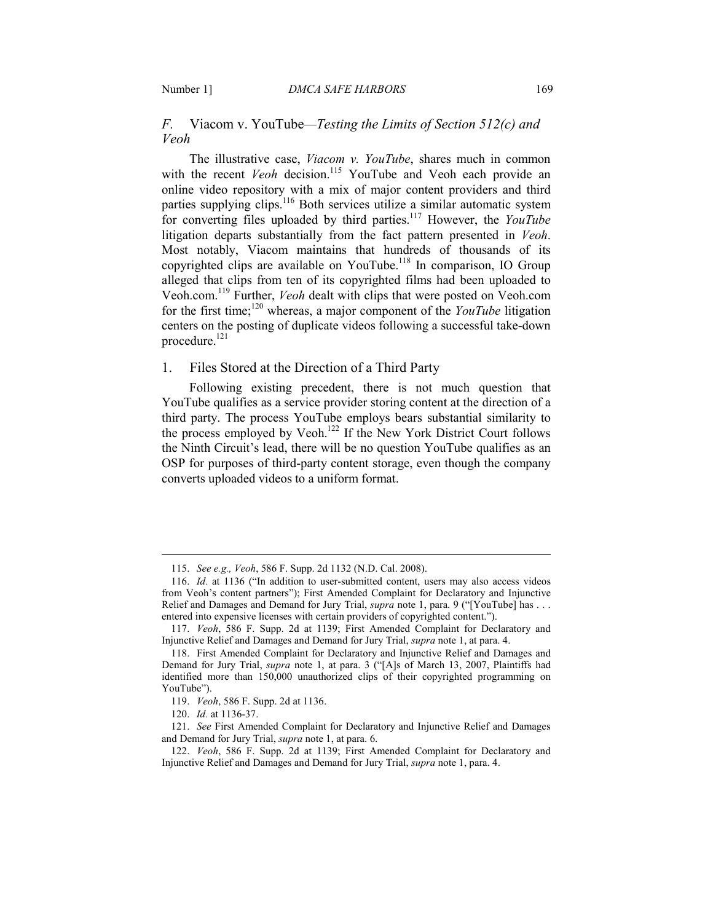## *F.* Viacom v. YouTube*—Testing the Limits of Section 512(c) and Veoh*

The illustrative case, *Viacom v. YouTube*, shares much in common with the recent *Veoh* decision.<sup>115</sup> YouTube and Veoh each provide an online video repository with a mix of major content providers and third parties supplying clips.<sup>116</sup> Both services utilize a similar automatic system for converting files uploaded by third parties.<sup>117</sup> However, the *YouTube* litigation departs substantially from the fact pattern presented in *Veoh*. Most notably, Viacom maintains that hundreds of thousands of its copyrighted clips are available on YouTube.<sup>118</sup> In comparison, IO Group alleged that clips from ten of its copyrighted films had been uploaded to Veoh.com.<sup>119</sup> Further, *Veoh* dealt with clips that were posted on Veoh.com for the first time;<sup>120</sup> whereas, a major component of the *YouTube* litigation centers on the posting of duplicate videos following a successful take-down procedure.<sup>121</sup>

## 1. Files Stored at the Direction of a Third Party

Following existing precedent, there is not much question that YouTube qualifies as a service provider storing content at the direction of a third party. The process YouTube employs bears substantial similarity to the process employed by Veoh.<sup>122</sup> If the New York District Court follows the Ninth Circuit's lead, there will be no question YouTube qualifies as an OSP for purposes of third-party content storage, even though the company converts uploaded videos to a uniform format.

 <sup>115.</sup> *See e.g., Veoh*, 586 F. Supp. 2d 1132 (N.D. Cal. 2008).

 <sup>116.</sup> *Id.* at 1136 ("In addition to user-submitted content, users may also access videos from Veoh's content partners"); First Amended Complaint for Declaratory and Injunctive Relief and Damages and Demand for Jury Trial, *supra* note 1, para. 9 ("[YouTube] has . . . entered into expensive licenses with certain providers of copyrighted content.").

 <sup>117.</sup> *Veoh*, 586 F. Supp. 2d at 1139; First Amended Complaint for Declaratory and Injunctive Relief and Damages and Demand for Jury Trial, *supra* note 1, at para. 4.

 <sup>118.</sup> First Amended Complaint for Declaratory and Injunctive Relief and Damages and Demand for Jury Trial, *supra* note 1, at para. 3 ("[A]s of March 13, 2007, Plaintiffs had identified more than 150,000 unauthorized clips of their copyrighted programming on YouTube").

 <sup>119.</sup> *Veoh*, 586 F. Supp. 2d at 1136.

 <sup>120.</sup> *Id.* at 1136-37.

 <sup>121.</sup> *See* First Amended Complaint for Declaratory and Injunctive Relief and Damages and Demand for Jury Trial, *supra* note 1, at para. 6.

 <sup>122.</sup> *Veoh*, 586 F. Supp. 2d at 1139; First Amended Complaint for Declaratory and Injunctive Relief and Damages and Demand for Jury Trial, *supra* note 1, para. 4.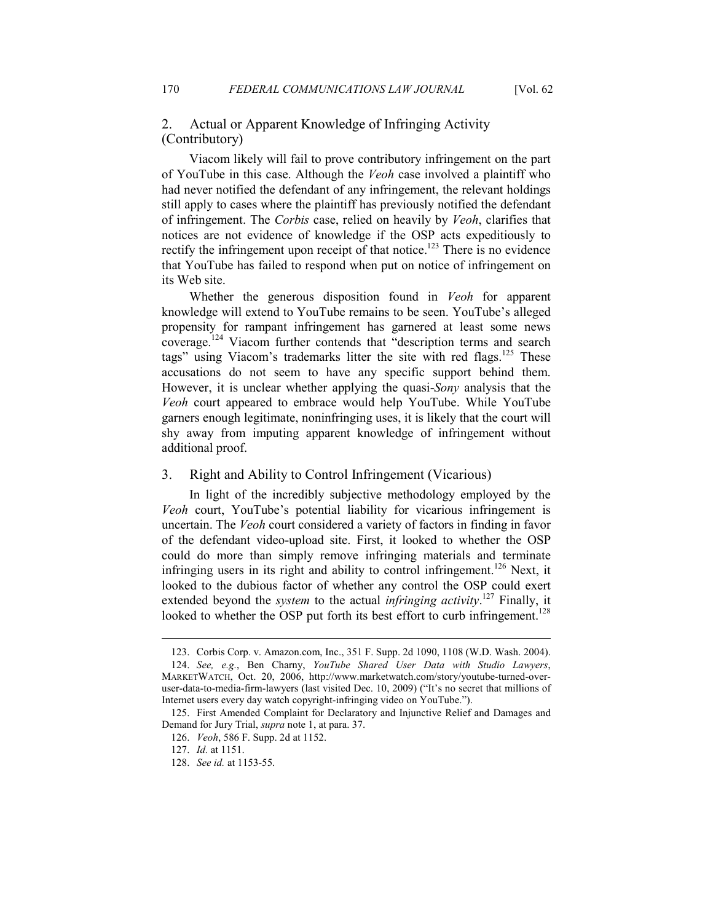## 2. Actual or Apparent Knowledge of Infringing Activity (Contributory)

Viacom likely will fail to prove contributory infringement on the part of YouTube in this case. Although the *Veoh* case involved a plaintiff who had never notified the defendant of any infringement, the relevant holdings still apply to cases where the plaintiff has previously notified the defendant of infringement. The *Corbis* case, relied on heavily by *Veoh*, clarifies that notices are not evidence of knowledge if the OSP acts expeditiously to rectify the infringement upon receipt of that notice.<sup>123</sup> There is no evidence that YouTube has failed to respond when put on notice of infringement on its Web site.

Whether the generous disposition found in *Veoh* for apparent knowledge will extend to YouTube remains to be seen. YouTube's alleged propensity for rampant infringement has garnered at least some news coverage.<sup>124</sup> Viacom further contends that "description terms and search tags" using Viacom's trademarks litter the site with red flags.<sup>125</sup> These accusations do not seem to have any specific support behind them. However, it is unclear whether applying the quasi-*Sony* analysis that the *Veoh* court appeared to embrace would help YouTube. While YouTube garners enough legitimate, noninfringing uses, it is likely that the court will shy away from imputing apparent knowledge of infringement without additional proof.

## 3. Right and Ability to Control Infringement (Vicarious)

In light of the incredibly subjective methodology employed by the *Veoh* court, YouTube's potential liability for vicarious infringement is uncertain. The *Veoh* court considered a variety of factors in finding in favor of the defendant video-upload site. First, it looked to whether the OSP could do more than simply remove infringing materials and terminate infringing users in its right and ability to control infringement.<sup>126</sup> Next, it looked to the dubious factor of whether any control the OSP could exert extended beyond the *system* to the actual *infringing activity*. <sup>127</sup> Finally, it looked to whether the OSP put forth its best effort to curb infringement.<sup>128</sup>

 <sup>123.</sup> Corbis Corp. v. Amazon.com, Inc., 351 F. Supp. 2d 1090, 1108 (W.D. Wash. 2004).

 <sup>124.</sup> *See, e.g.*, Ben Charny, *YouTube Shared User Data with Studio Lawyers*, MARKETWATCH, Oct. 20, 2006, http://www.marketwatch.com/story/youtube-turned-overuser-data-to-media-firm-lawyers (last visited Dec. 10, 2009) ("It's no secret that millions of Internet users every day watch copyright-infringing video on YouTube.").

 <sup>125.</sup> First Amended Complaint for Declaratory and Injunctive Relief and Damages and Demand for Jury Trial, *supra* note 1, at para. 37.

 <sup>126.</sup> *Veoh*, 586 F. Supp. 2d at 1152.

 <sup>127.</sup> *Id.* at 1151.

 <sup>128.</sup> *See id.* at 1153-55.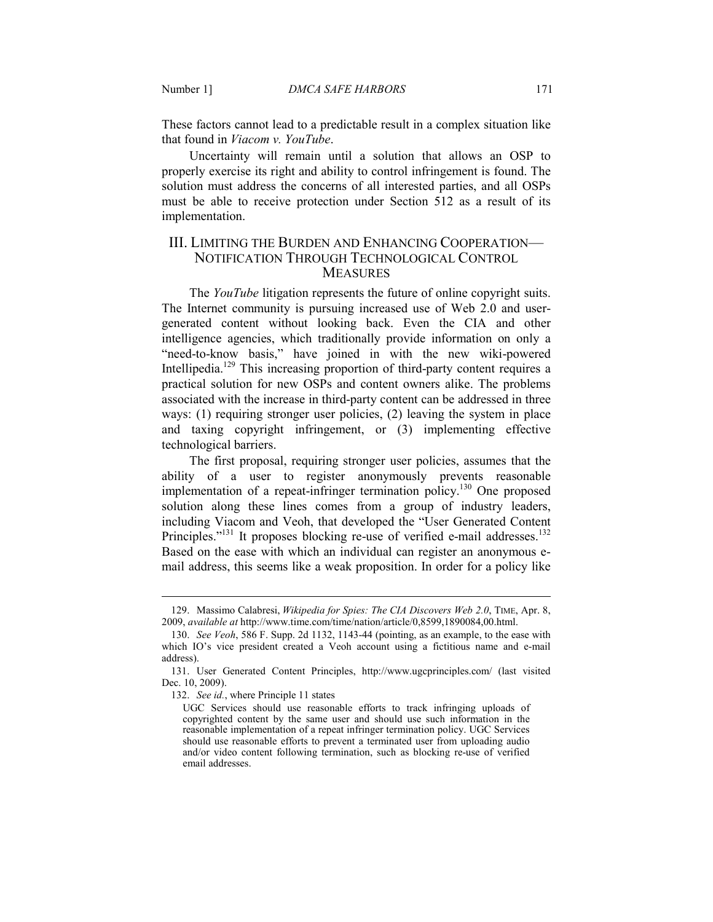These factors cannot lead to a predictable result in a complex situation like that found in *Viacom v. YouTube*.

Uncertainty will remain until a solution that allows an OSP to properly exercise its right and ability to control infringement is found. The solution must address the concerns of all interested parties, and all OSPs must be able to receive protection under Section 512 as a result of its implementation.

## III. LIMITING THE BURDEN AND ENHANCING COOPERATION— NOTIFICATION THROUGH TECHNOLOGICAL CONTROL **MEASURES**

The *YouTube* litigation represents the future of online copyright suits. The Internet community is pursuing increased use of Web 2.0 and usergenerated content without looking back. Even the CIA and other intelligence agencies, which traditionally provide information on only a "need-to-know basis," have joined in with the new wiki-powered Intellipedia.<sup>129</sup> This increasing proportion of third-party content requires a practical solution for new OSPs and content owners alike. The problems associated with the increase in third-party content can be addressed in three ways: (1) requiring stronger user policies, (2) leaving the system in place and taxing copyright infringement, or (3) implementing effective technological barriers.

The first proposal, requiring stronger user policies, assumes that the ability of a user to register anonymously prevents reasonable implementation of a repeat-infringer termination policy.<sup>130</sup> One proposed solution along these lines comes from a group of industry leaders, including Viacom and Veoh, that developed the "User Generated Content Principles."<sup>131</sup> It proposes blocking re-use of verified e-mail addresses.<sup>132</sup> Based on the ease with which an individual can register an anonymous email address, this seems like a weak proposition. In order for a policy like

 <sup>129.</sup> Massimo Calabresi, *Wikipedia for Spies: The CIA Discovers Web 2.0*, TIME, Apr. 8, 2009, *available at* http://www.time.com/time/nation/article/0,8599,1890084,00.html.

 <sup>130.</sup> *See Veoh*, 586 F. Supp. 2d 1132, 1143-44 (pointing, as an example, to the ease with which IO's vice president created a Veoh account using a fictitious name and e-mail address).

 <sup>131.</sup> User Generated Content Principles, http://www.ugcprinciples.com/ (last visited Dec. 10, 2009).

 <sup>132.</sup> *See id.*, where Principle 11 states

UGC Services should use reasonable efforts to track infringing uploads of copyrighted content by the same user and should use such information in the reasonable implementation of a repeat infringer termination policy. UGC Services should use reasonable efforts to prevent a terminated user from uploading audio and/or video content following termination, such as blocking re-use of verified email addresses.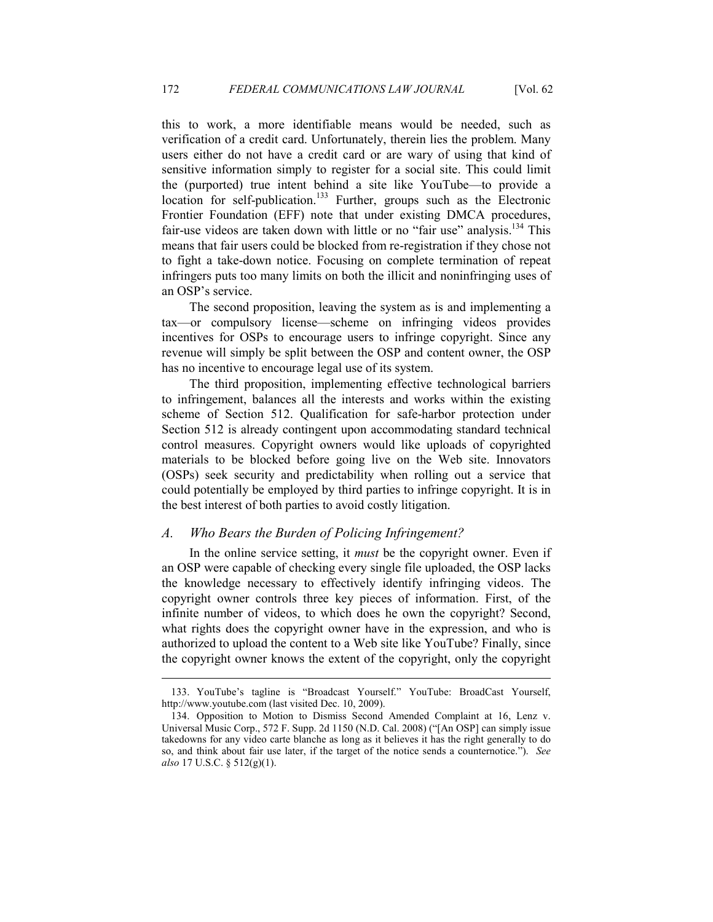this to work, a more identifiable means would be needed, such as verification of a credit card. Unfortunately, therein lies the problem. Many users either do not have a credit card or are wary of using that kind of sensitive information simply to register for a social site. This could limit the (purported) true intent behind a site like YouTube—to provide a location for self-publication.<sup>133</sup> Further, groups such as the Electronic Frontier Foundation (EFF) note that under existing DMCA procedures, fair-use videos are taken down with little or no "fair use" analysis.<sup>134</sup> This means that fair users could be blocked from re-registration if they chose not to fight a take-down notice. Focusing on complete termination of repeat infringers puts too many limits on both the illicit and noninfringing uses of an OSP's service.

The second proposition, leaving the system as is and implementing a tax—or compulsory license—scheme on infringing videos provides incentives for OSPs to encourage users to infringe copyright. Since any revenue will simply be split between the OSP and content owner, the OSP has no incentive to encourage legal use of its system.

The third proposition, implementing effective technological barriers to infringement, balances all the interests and works within the existing scheme of Section 512. Qualification for safe-harbor protection under Section 512 is already contingent upon accommodating standard technical control measures. Copyright owners would like uploads of copyrighted materials to be blocked before going live on the Web site. Innovators (OSPs) seek security and predictability when rolling out a service that could potentially be employed by third parties to infringe copyright. It is in the best interest of both parties to avoid costly litigation.

## *A. Who Bears the Burden of Policing Infringement?*

-

In the online service setting, it *must* be the copyright owner. Even if an OSP were capable of checking every single file uploaded, the OSP lacks the knowledge necessary to effectively identify infringing videos. The copyright owner controls three key pieces of information. First, of the infinite number of videos, to which does he own the copyright? Second, what rights does the copyright owner have in the expression, and who is authorized to upload the content to a Web site like YouTube? Finally, since the copyright owner knows the extent of the copyright, only the copyright

 <sup>133.</sup> YouTube's tagline is "Broadcast Yourself." YouTube: BroadCast Yourself, http://www.youtube.com (last visited Dec. 10, 2009).

 <sup>134.</sup> Opposition to Motion to Dismiss Second Amended Complaint at 16, Lenz v. Universal Music Corp., 572 F. Supp. 2d 1150 (N.D. Cal. 2008) ("[An OSP] can simply issue takedowns for any video carte blanche as long as it believes it has the right generally to do so, and think about fair use later, if the target of the notice sends a counternotice."). *See also* 17 U.S.C. § 512(g)(1).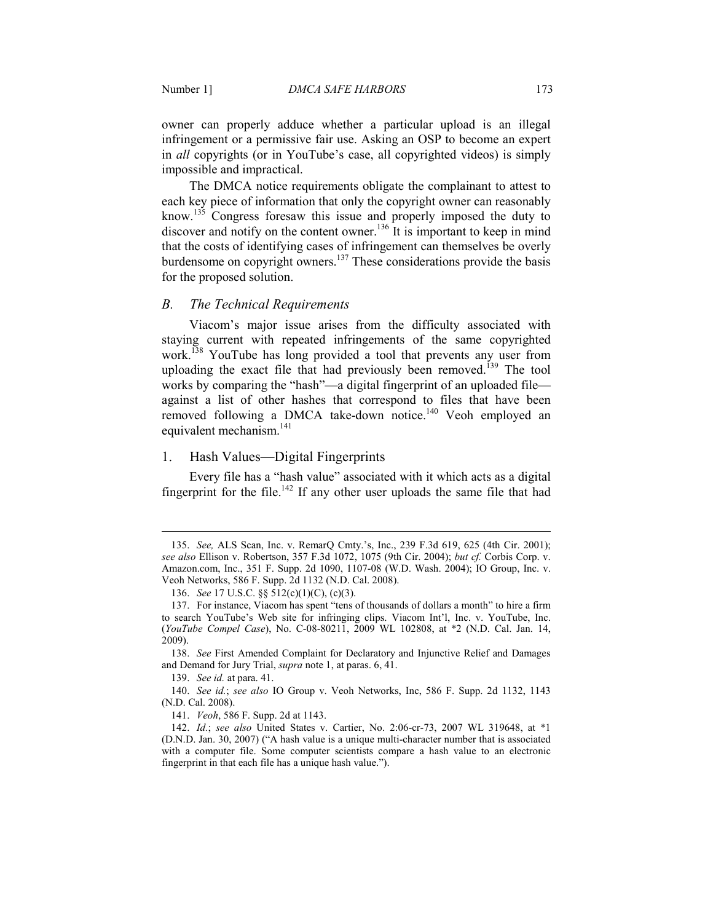owner can properly adduce whether a particular upload is an illegal infringement or a permissive fair use. Asking an OSP to become an expert in *all* copyrights (or in YouTube's case, all copyrighted videos) is simply impossible and impractical.

The DMCA notice requirements obligate the complainant to attest to each key piece of information that only the copyright owner can reasonably know.<sup>135</sup> Congress foresaw this issue and properly imposed the duty to discover and notify on the content owner.<sup>136</sup> It is important to keep in mind that the costs of identifying cases of infringement can themselves be overly burdensome on copyright owners.<sup>137</sup> These considerations provide the basis for the proposed solution.

#### *B. The Technical Requirements*

Viacom's major issue arises from the difficulty associated with staying current with repeated infringements of the same copyrighted work.<sup>138</sup> YouTube has long provided a tool that prevents any user from uploading the exact file that had previously been removed.<sup>139</sup> The tool works by comparing the "hash"—a digital fingerprint of an uploaded file against a list of other hashes that correspond to files that have been removed following a DMCA take-down notice.<sup>140</sup> Veoh employed an equivalent mechanism.<sup>141</sup>

#### 1. Hash Values—Digital Fingerprints

Every file has a "hash value" associated with it which acts as a digital fingerprint for the file.<sup>142</sup> If any other user uploads the same file that had

139. *See id.* at para. 41.

-

141. *Veoh*, 586 F. Supp. 2d at 1143.

 <sup>135.</sup> *See,* ALS Scan, Inc. v. RemarQ Cmty.'s, Inc., 239 F.3d 619, 625 (4th Cir. 2001); *see also* Ellison v. Robertson, 357 F.3d 1072, 1075 (9th Cir. 2004); *but cf.* Corbis Corp. v. Amazon.com, Inc., 351 F. Supp. 2d 1090, 1107-08 (W.D. Wash. 2004); IO Group, Inc. v. Veoh Networks, 586 F. Supp. 2d 1132 (N.D. Cal. 2008).

 <sup>136.</sup> *See* 17 U.S.C. §§ 512(c)(1)(C), (c)(3).

 <sup>137.</sup> For instance, Viacom has spent "tens of thousands of dollars a month" to hire a firm to search YouTube's Web site for infringing clips. Viacom Int'l, Inc. v. YouTube, Inc. (*YouTube Compel Case*), No. C-08-80211, 2009 WL 102808, at \*2 (N.D. Cal. Jan. 14, 2009).

 <sup>138.</sup> *See* First Amended Complaint for Declaratory and Injunctive Relief and Damages and Demand for Jury Trial, *supra* note 1, at paras. 6, 41.

 <sup>140.</sup> *See id.*; *see also* IO Group v. Veoh Networks, Inc, 586 F. Supp. 2d 1132, 1143 (N.D. Cal. 2008).

 <sup>142.</sup> *Id.*; *see also* United States v. Cartier, No. 2:06-cr-73, 2007 WL 319648, at \*1 (D.N.D. Jan. 30, 2007) ("A hash value is a unique multi-character number that is associated with a computer file. Some computer scientists compare a hash value to an electronic fingerprint in that each file has a unique hash value.").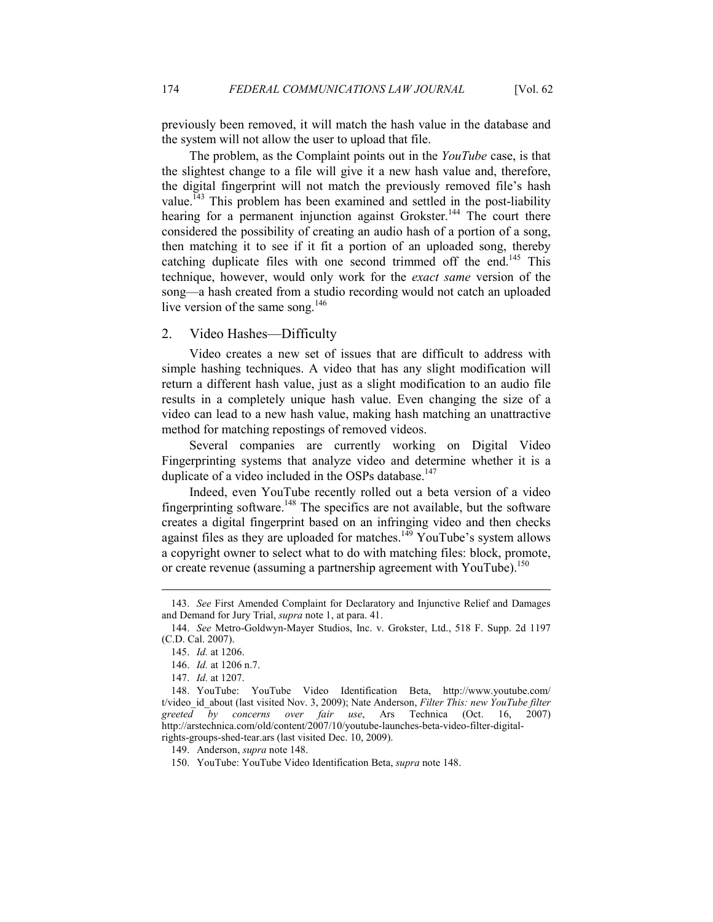previously been removed, it will match the hash value in the database and the system will not allow the user to upload that file.

The problem, as the Complaint points out in the *YouTube* case, is that the slightest change to a file will give it a new hash value and, therefore, the digital fingerprint will not match the previously removed file's hash value.<sup> $143$ </sup> This problem has been examined and settled in the post-liability hearing for a permanent injunction against Grokster.<sup>144</sup> The court there considered the possibility of creating an audio hash of a portion of a song, then matching it to see if it fit a portion of an uploaded song, thereby catching duplicate files with one second trimmed off the end.<sup>145</sup> This technique, however, would only work for the *exact same* version of the song—a hash created from a studio recording would not catch an uploaded live version of the same song.<sup>146</sup>

## 2. Video Hashes—Difficulty

Video creates a new set of issues that are difficult to address with simple hashing techniques. A video that has any slight modification will return a different hash value, just as a slight modification to an audio file results in a completely unique hash value. Even changing the size of a video can lead to a new hash value, making hash matching an unattractive method for matching repostings of removed videos.

Several companies are currently working on Digital Video Fingerprinting systems that analyze video and determine whether it is a duplicate of a video included in the OSPs database. $147$ 

Indeed, even YouTube recently rolled out a beta version of a video fingerprinting software.<sup>148</sup> The specifics are not available, but the software creates a digital fingerprint based on an infringing video and then checks against files as they are uploaded for matches.<sup>149</sup> YouTube's system allows a copyright owner to select what to do with matching files: block, promote, or create revenue (assuming a partnership agreement with YouTube).<sup>150</sup>

 <sup>143.</sup> *See* First Amended Complaint for Declaratory and Injunctive Relief and Damages and Demand for Jury Trial, *supra* note 1, at para. 41.

 <sup>144.</sup> *See* Metro-Goldwyn-Mayer Studios, Inc. v. Grokster, Ltd., 518 F. Supp. 2d 1197 (C.D. Cal. 2007).

 <sup>145.</sup> *Id.* at 1206.

 <sup>146.</sup> *Id.* at 1206 n.7.

 <sup>147.</sup> *Id.* at 1207.

 <sup>148.</sup> YouTube: YouTube Video Identification Beta, http://www.youtube.com/ t/video id about (last visited Nov. 3, 2009); Nate Anderson, *Filter This: new YouTube filter greeted by concerns over fair use*, Ars Technica (Oct. 16, 2007) http://arstechnica.com/old/content/2007/10/youtube-launches-beta-video-filter-digitalrights-groups-shed-tear.ars (last visited Dec. 10, 2009).

 <sup>149.</sup> Anderson, *supra* note 148.

 <sup>150.</sup> YouTube: YouTube Video Identification Beta, *supra* note 148.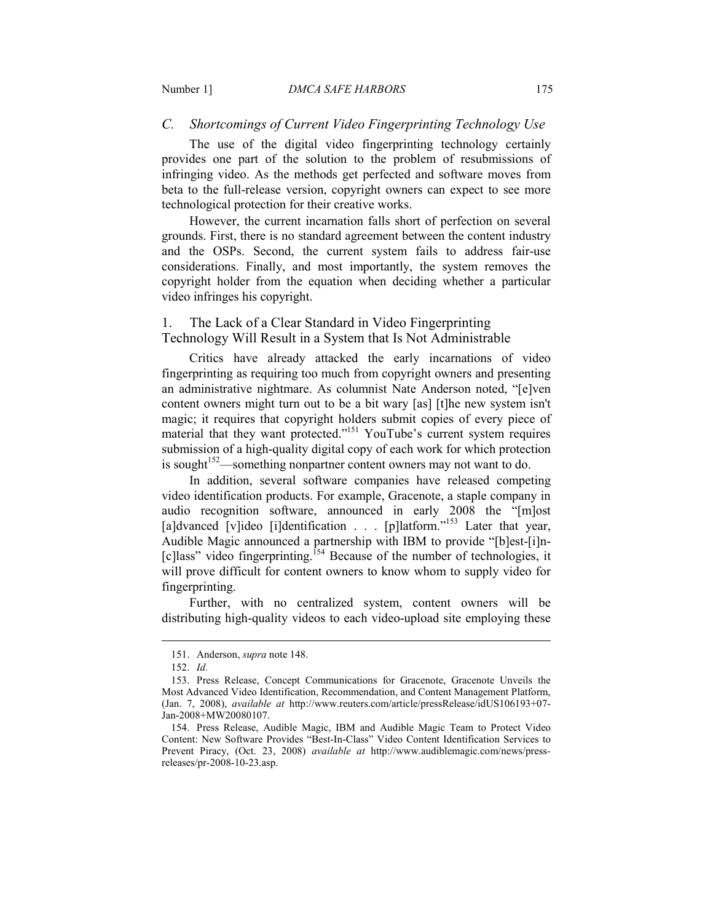## *C. Shortcomings of Current Video Fingerprinting Technology Use*

The use of the digital video fingerprinting technology certainly provides one part of the solution to the problem of resubmissions of infringing video. As the methods get perfected and software moves from beta to the full-release version, copyright owners can expect to see more technological protection for their creative works.

However, the current incarnation falls short of perfection on several grounds. First, there is no standard agreement between the content industry and the OSPs. Second, the current system fails to address fair-use considerations. Finally, and most importantly, the system removes the copyright holder from the equation when deciding whether a particular video infringes his copyright.

## 1. The Lack of a Clear Standard in Video Fingerprinting Technology Will Result in a System that Is Not Administrable

Critics have already attacked the early incarnations of video fingerprinting as requiring too much from copyright owners and presenting an administrative nightmare. As columnist Nate Anderson noted, "[e]ven content owners might turn out to be a bit wary [as] [t]he new system isn't magic; it requires that copyright holders submit copies of every piece of material that they want protected."<sup>151</sup> YouTube's current system requires submission of a high-quality digital copy of each work for which protection is sought<sup>152</sup>—something nonpartner content owners may not want to do.

In addition, several software companies have released competing video identification products. For example, Gracenote, a staple company in audio recognition software, announced in early 2008 the "[m]ost [a]dvanced [v]ideo [i]dentification . . . [p]latform."<sup>153</sup> Later that year, Audible Magic announced a partnership with IBM to provide "[b]est-[i]n- [c]lass" video fingerprinting.<sup>154</sup> Because of the number of technologies, it will prove difficult for content owners to know whom to supply video for fingerprinting.

Further, with no centralized system, content owners will be distributing high-quality videos to each video-upload site employing these

 <sup>151.</sup> Anderson, *supra* note 148.

 <sup>152.</sup> *Id.*

 <sup>153.</sup> Press Release, Concept Communications for Gracenote, Gracenote Unveils the Most Advanced Video Identification, Recommendation, and Content Management Platform, (Jan. 7, 2008), *available at* http://www.reuters.com/article/pressRelease/idUS106193+07- Jan-2008+MW20080107.

 <sup>154.</sup> Press Release, Audible Magic, IBM and Audible Magic Team to Protect Video Content: New Software Provides "Best-In-Class" Video Content Identification Services to Prevent Piracy, (Oct. 23, 2008) *available at* http://www.audiblemagic.com/news/pressreleases/pr-2008-10-23.asp.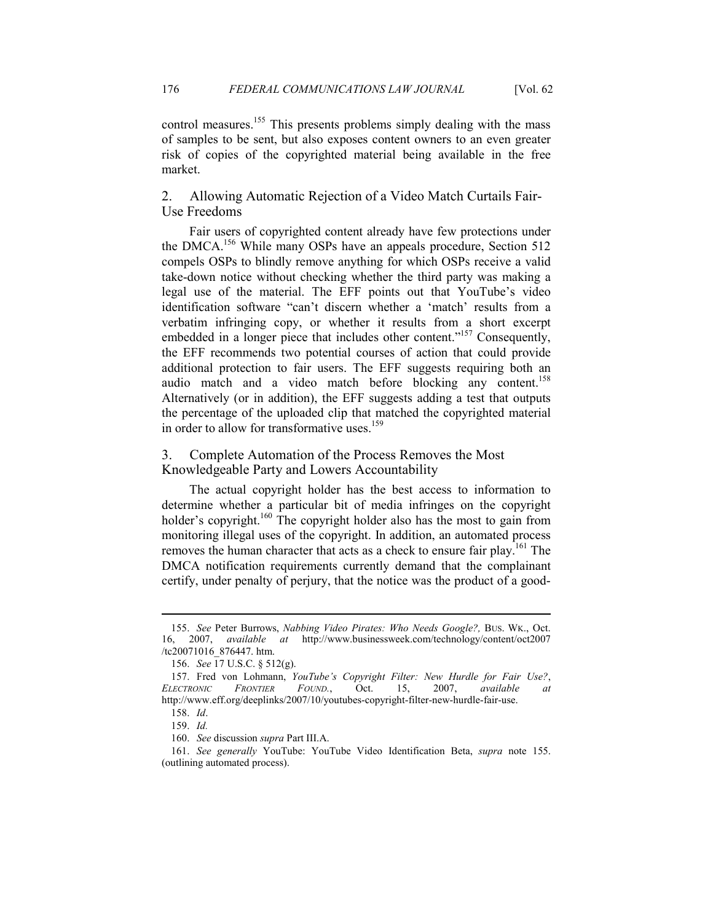control measures.<sup>155</sup> This presents problems simply dealing with the mass of samples to be sent, but also exposes content owners to an even greater risk of copies of the copyrighted material being available in the free market.

2. Allowing Automatic Rejection of a Video Match Curtails Fair-Use Freedoms

Fair users of copyrighted content already have few protections under the DMCA.<sup>156</sup> While many OSPs have an appeals procedure, Section 512 compels OSPs to blindly remove anything for which OSPs receive a valid take-down notice without checking whether the third party was making a legal use of the material. The EFF points out that YouTube's video identification software "can't discern whether a 'match' results from a verbatim infringing copy, or whether it results from a short excerpt embedded in a longer piece that includes other content."<sup>157</sup> Consequently, the EFF recommends two potential courses of action that could provide additional protection to fair users. The EFF suggests requiring both an audio match and a video match before blocking any content.<sup>158</sup> Alternatively (or in addition), the EFF suggests adding a test that outputs the percentage of the uploaded clip that matched the copyrighted material in order to allow for transformative uses.<sup>159</sup>

3. Complete Automation of the Process Removes the Most Knowledgeable Party and Lowers Accountability

The actual copyright holder has the best access to information to determine whether a particular bit of media infringes on the copyright holder's copyright.<sup>160</sup> The copyright holder also has the most to gain from monitoring illegal uses of the copyright. In addition, an automated process removes the human character that acts as a check to ensure fair play.<sup>161</sup> The DMCA notification requirements currently demand that the complainant certify, under penalty of perjury, that the notice was the product of a good-

<sup>155.</sup> See Peter Burrows, *Nabbing Video Pirates: Who Needs Google?*, BUS. WK., Oct. 16, 2007, *available at* http://www.businessweek.com/technology/content/oct2007 /tc20071016\_876447. htm.

 <sup>156.</sup> *See* 17 U.S.C. § 512(g).

<sup>157.</sup> Fred von Lohmann, *YouTube's Copyright Filter: New Hurdle for Fair Use?*, *ELECTROIC FROTIER FOUD.*, Oct. 15, 2007, *available at*  http://www.eff.org/deeplinks/2007/10/youtubes-copyright-filter-new-hurdle-fair-use.

 <sup>158.</sup> *Id*.

 <sup>159.</sup> *Id.*

 <sup>160.</sup> *See* discussion *supra* Part III.A.

 <sup>161.</sup> *See generally* YouTube: YouTube Video Identification Beta, *supra* note 155. (outlining automated process).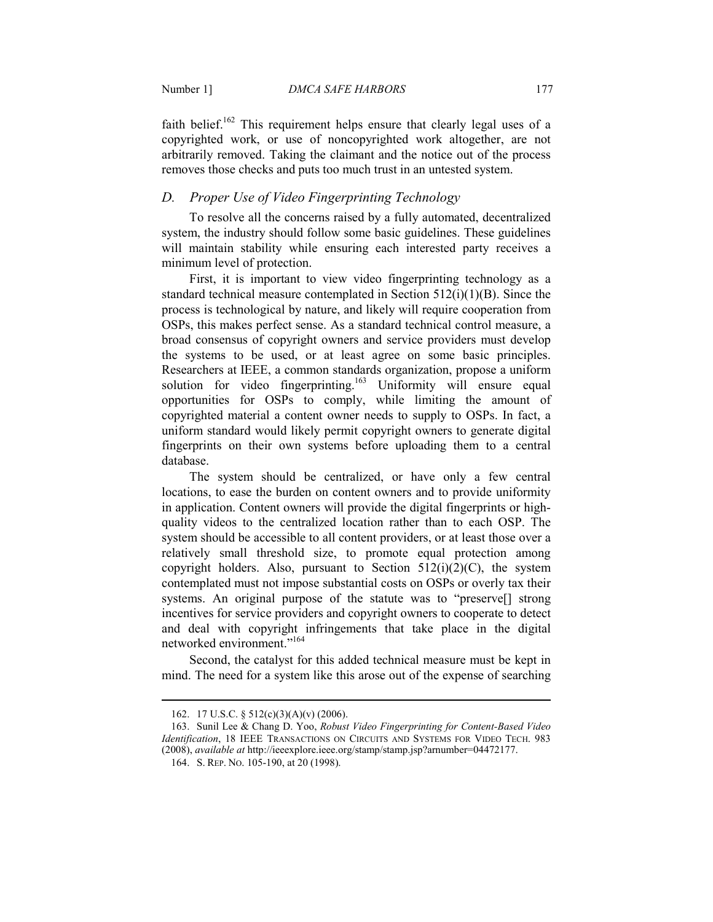faith belief.<sup>162</sup> This requirement helps ensure that clearly legal uses of a copyrighted work, or use of noncopyrighted work altogether, are not arbitrarily removed. Taking the claimant and the notice out of the process removes those checks and puts too much trust in an untested system.

## *D. Proper Use of Video Fingerprinting Technology*

To resolve all the concerns raised by a fully automated, decentralized system, the industry should follow some basic guidelines. These guidelines will maintain stability while ensuring each interested party receives a minimum level of protection.

First, it is important to view video fingerprinting technology as a standard technical measure contemplated in Section  $512(i)(1)(B)$ . Since the process is technological by nature, and likely will require cooperation from OSPs, this makes perfect sense. As a standard technical control measure, a broad consensus of copyright owners and service providers must develop the systems to be used, or at least agree on some basic principles. Researchers at IEEE, a common standards organization, propose a uniform solution for video fingerprinting.<sup>163</sup> Uniformity will ensure equal opportunities for OSPs to comply, while limiting the amount of copyrighted material a content owner needs to supply to OSPs. In fact, a uniform standard would likely permit copyright owners to generate digital fingerprints on their own systems before uploading them to a central database.

The system should be centralized, or have only a few central locations, to ease the burden on content owners and to provide uniformity in application. Content owners will provide the digital fingerprints or highquality videos to the centralized location rather than to each OSP. The system should be accessible to all content providers, or at least those over a relatively small threshold size, to promote equal protection among copyright holders. Also, pursuant to Section  $512(i)(2)(C)$ , the system contemplated must not impose substantial costs on OSPs or overly tax their systems. An original purpose of the statute was to "preserve[] strong incentives for service providers and copyright owners to cooperate to detect and deal with copyright infringements that take place in the digital networked environment."<sup>164</sup>

Second, the catalyst for this added technical measure must be kept in mind. The need for a system like this arose out of the expense of searching

 <sup>162. 17</sup> U.S.C. § 512(c)(3)(A)(v) (2006).

 <sup>163.</sup> Sunil Lee & Chang D. Yoo, *Robust Video Fingerprinting for Content-Based Video Identification*, 18 IEEE TRANSACTIONS ON CIRCUITS AND SYSTEMS FOR VIDEO TECH. 983 (2008), *available at* http://ieeexplore.ieee.org/stamp/stamp.jsp?arnumber=04472177.

 <sup>164.</sup> S. REP. NO. 105-190, at 20 (1998).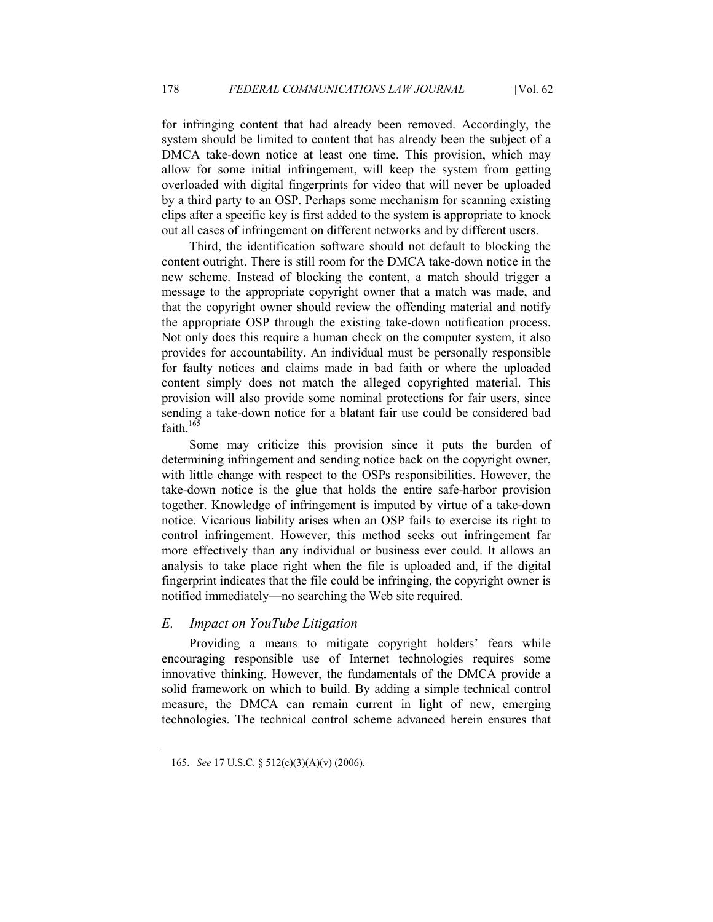for infringing content that had already been removed. Accordingly, the system should be limited to content that has already been the subject of a DMCA take-down notice at least one time. This provision, which may allow for some initial infringement, will keep the system from getting overloaded with digital fingerprints for video that will never be uploaded by a third party to an OSP. Perhaps some mechanism for scanning existing clips after a specific key is first added to the system is appropriate to knock out all cases of infringement on different networks and by different users.

Third, the identification software should not default to blocking the content outright. There is still room for the DMCA take-down notice in the new scheme. Instead of blocking the content, a match should trigger a message to the appropriate copyright owner that a match was made, and that the copyright owner should review the offending material and notify the appropriate OSP through the existing take-down notification process. Not only does this require a human check on the computer system, it also provides for accountability. An individual must be personally responsible for faulty notices and claims made in bad faith or where the uploaded content simply does not match the alleged copyrighted material. This provision will also provide some nominal protections for fair users, since sending a take-down notice for a blatant fair use could be considered bad faith  $16\overline{5}$ 

Some may criticize this provision since it puts the burden of determining infringement and sending notice back on the copyright owner, with little change with respect to the OSPs responsibilities. However, the take-down notice is the glue that holds the entire safe-harbor provision together. Knowledge of infringement is imputed by virtue of a take-down notice. Vicarious liability arises when an OSP fails to exercise its right to control infringement. However, this method seeks out infringement far more effectively than any individual or business ever could. It allows an analysis to take place right when the file is uploaded and, if the digital fingerprint indicates that the file could be infringing, the copyright owner is notified immediately—no searching the Web site required.

## *E. Impact on YouTube Litigation*

Providing a means to mitigate copyright holders' fears while encouraging responsible use of Internet technologies requires some innovative thinking. However, the fundamentals of the DMCA provide a solid framework on which to build. By adding a simple technical control measure, the DMCA can remain current in light of new, emerging technologies. The technical control scheme advanced herein ensures that

 <sup>165.</sup> *See* 17 U.S.C. § 512(c)(3)(A)(v) (2006).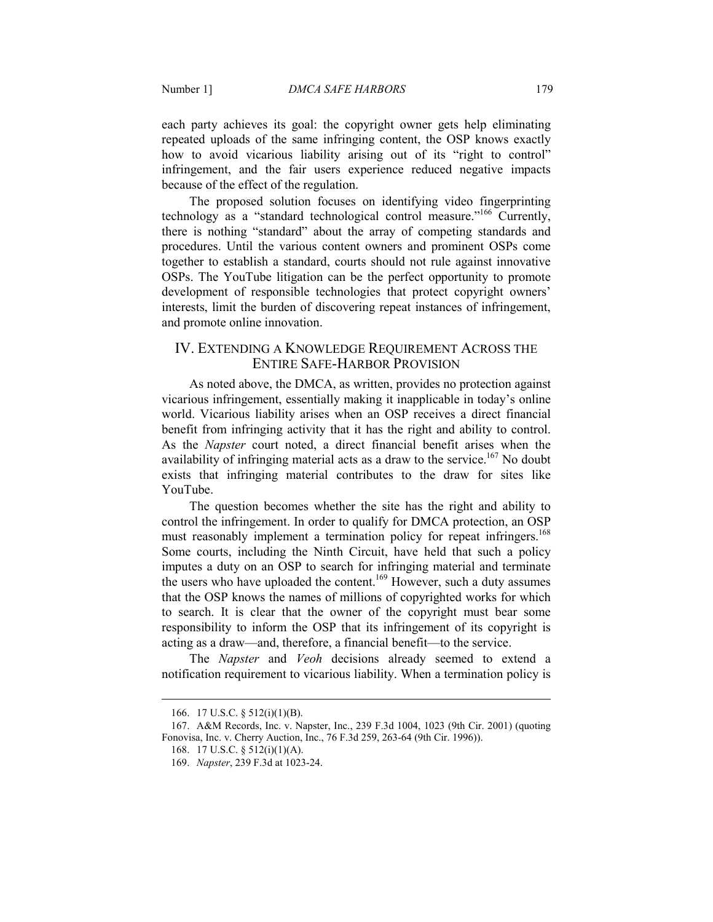each party achieves its goal: the copyright owner gets help eliminating repeated uploads of the same infringing content, the OSP knows exactly how to avoid vicarious liability arising out of its "right to control" infringement, and the fair users experience reduced negative impacts because of the effect of the regulation.

The proposed solution focuses on identifying video fingerprinting technology as a "standard technological control measure."<sup>166</sup> Currently, there is nothing "standard" about the array of competing standards and procedures. Until the various content owners and prominent OSPs come together to establish a standard, courts should not rule against innovative OSPs. The YouTube litigation can be the perfect opportunity to promote development of responsible technologies that protect copyright owners' interests, limit the burden of discovering repeat instances of infringement, and promote online innovation.

## IV. EXTENDING A KNOWLEDGE REQUIREMENT ACROSS THE ENTIRE SAFE-HARBOR PROVISION

As noted above, the DMCA, as written, provides no protection against vicarious infringement, essentially making it inapplicable in today's online world. Vicarious liability arises when an OSP receives a direct financial benefit from infringing activity that it has the right and ability to control. As the *Napster* court noted, a direct financial benefit arises when the availability of infringing material acts as a draw to the service.<sup>167</sup> No doubt exists that infringing material contributes to the draw for sites like YouTube.

The question becomes whether the site has the right and ability to control the infringement. In order to qualify for DMCA protection, an OSP must reasonably implement a termination policy for repeat infringers.<sup>168</sup> Some courts, including the Ninth Circuit, have held that such a policy imputes a duty on an OSP to search for infringing material and terminate the users who have uploaded the content.<sup>169</sup> However, such a duty assumes that the OSP knows the names of millions of copyrighted works for which to search. It is clear that the owner of the copyright must bear some responsibility to inform the OSP that its infringement of its copyright is acting as a draw—and, therefore, a financial benefit—to the service.

The *Napster* and *Veoh* decisions already seemed to extend a notification requirement to vicarious liability. When a termination policy is

-

 <sup>166. 17</sup> U.S.C. § 512(i)(1)(B).

 <sup>167.</sup> A&M Records, Inc. v. Napster, Inc., 239 F.3d 1004, 1023 (9th Cir. 2001) (quoting Fonovisa, Inc. v. Cherry Auction, Inc., 76 F.3d 259, 263-64 (9th Cir. 1996)).

 <sup>168. 17</sup> U.S.C. § 512(i)(1)(A).

 <sup>169.</sup> *apster*, 239 F.3d at 1023-24.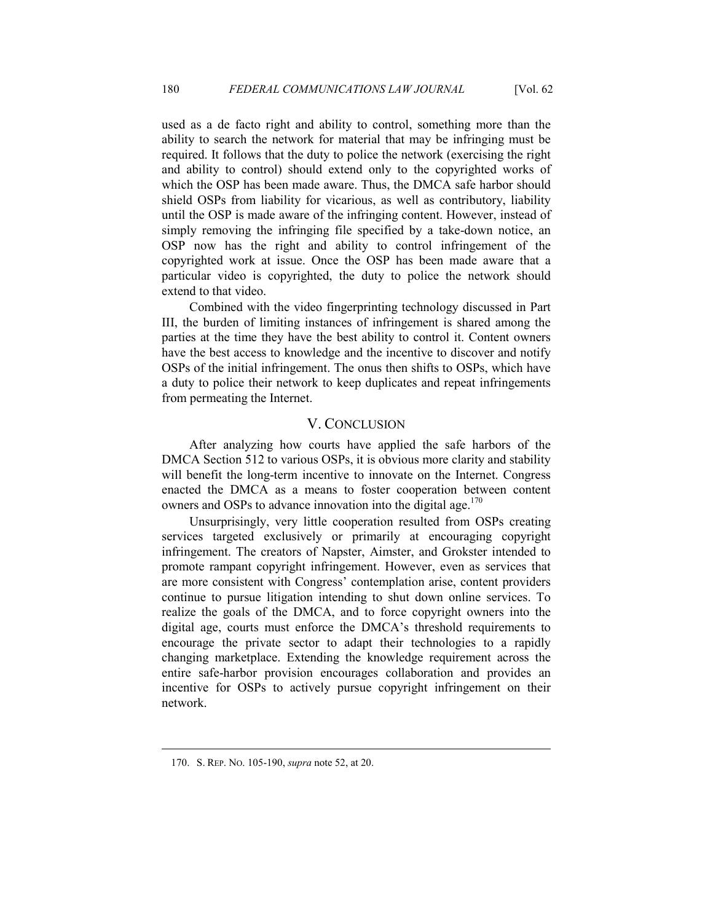used as a de facto right and ability to control, something more than the ability to search the network for material that may be infringing must be required. It follows that the duty to police the network (exercising the right and ability to control) should extend only to the copyrighted works of which the OSP has been made aware. Thus, the DMCA safe harbor should shield OSPs from liability for vicarious, as well as contributory, liability until the OSP is made aware of the infringing content. However, instead of simply removing the infringing file specified by a take-down notice, an OSP now has the right and ability to control infringement of the copyrighted work at issue. Once the OSP has been made aware that a particular video is copyrighted, the duty to police the network should extend to that video.

Combined with the video fingerprinting technology discussed in Part III, the burden of limiting instances of infringement is shared among the parties at the time they have the best ability to control it. Content owners have the best access to knowledge and the incentive to discover and notify OSPs of the initial infringement. The onus then shifts to OSPs, which have a duty to police their network to keep duplicates and repeat infringements from permeating the Internet.

## V. CONCLUSION

After analyzing how courts have applied the safe harbors of the DMCA Section 512 to various OSPs, it is obvious more clarity and stability will benefit the long-term incentive to innovate on the Internet. Congress enacted the DMCA as a means to foster cooperation between content owners and OSPs to advance innovation into the digital age.<sup>170</sup>

Unsurprisingly, very little cooperation resulted from OSPs creating services targeted exclusively or primarily at encouraging copyright infringement. The creators of Napster, Aimster, and Grokster intended to promote rampant copyright infringement. However, even as services that are more consistent with Congress' contemplation arise, content providers continue to pursue litigation intending to shut down online services. To realize the goals of the DMCA, and to force copyright owners into the digital age, courts must enforce the DMCA's threshold requirements to encourage the private sector to adapt their technologies to a rapidly changing marketplace. Extending the knowledge requirement across the entire safe-harbor provision encourages collaboration and provides an incentive for OSPs to actively pursue copyright infringement on their network.

 <sup>170.</sup> S. REP. NO. 105-190, *supra* note 52, at 20.